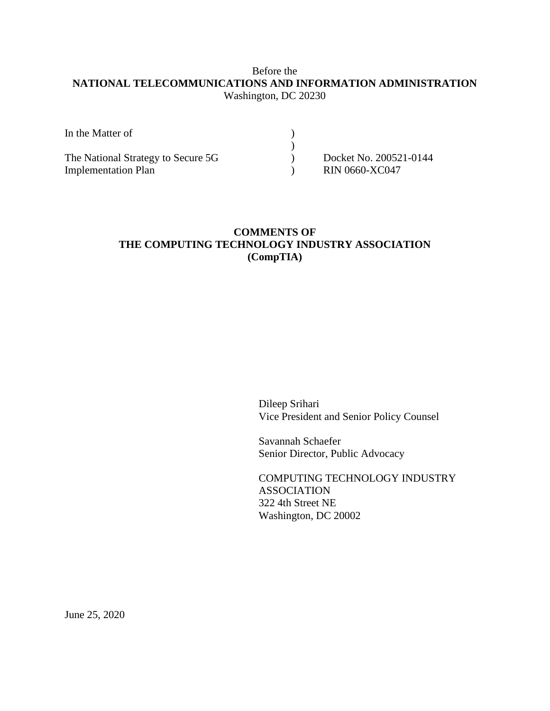## Before the **NATIONAL TELECOMMUNICATIONS AND INFORMATION ADMINISTRATION** Washington, DC 20230

| In the Matter of                   |                        |
|------------------------------------|------------------------|
|                                    |                        |
| The National Strategy to Secure 5G | Docket No. 200521-0144 |
| <b>Implementation Plan</b>         | <b>RIN 0660-XC047</b>  |

## **COMMENTS OF THE COMPUTING TECHNOLOGY INDUSTRY ASSOCIATION (CompTIA)**

Dileep Srihari Vice President and Senior Policy Counsel

Savannah Schaefer Senior Director, Public Advocacy

COMPUTING TECHNOLOGY INDUSTRY ASSOCIATION 322 4th Street NE Washington, DC 20002

June 25, 2020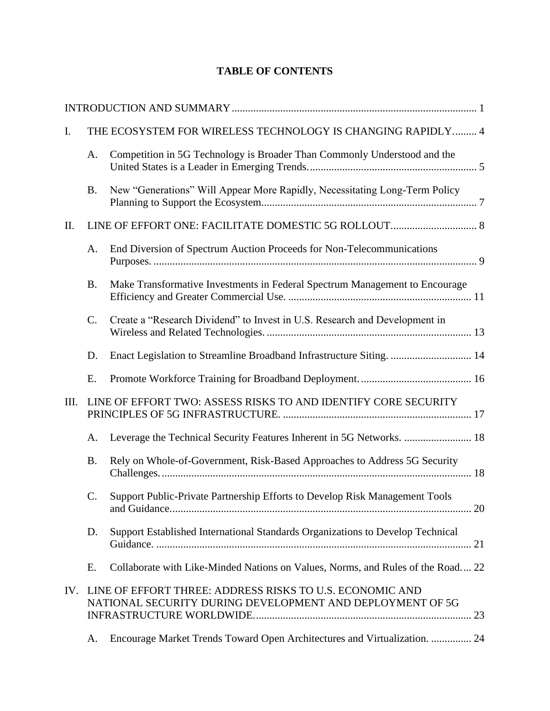# **TABLE OF CONTENTS**

| I.   |                 | THE ECOSYSTEM FOR WIRELESS TECHNOLOGY IS CHANGING RAPIDLY 4                                                           |
|------|-----------------|-----------------------------------------------------------------------------------------------------------------------|
|      | A.              | Competition in 5G Technology is Broader Than Commonly Understood and the                                              |
|      | <b>B.</b>       | New "Generations" Will Appear More Rapidly, Necessitating Long-Term Policy                                            |
| Π.   |                 |                                                                                                                       |
|      | A.              | End Diversion of Spectrum Auction Proceeds for Non-Telecommunications                                                 |
|      | <b>B.</b>       | Make Transformative Investments in Federal Spectrum Management to Encourage                                           |
|      | $C$ .           | Create a "Research Dividend" to Invest in U.S. Research and Development in                                            |
|      | D.              | Enact Legislation to Streamline Broadband Infrastructure Siting.  14                                                  |
|      | E.              |                                                                                                                       |
| III. |                 | LINE OF EFFORT TWO: ASSESS RISKS TO AND IDENTIFY CORE SECURITY                                                        |
|      | А.              | Leverage the Technical Security Features Inherent in 5G Networks.  18                                                 |
|      | <b>B.</b>       | Rely on Whole-of-Government, Risk-Based Approaches to Address 5G Security                                             |
|      | $\mathcal{C}$ . | Support Public-Private Partnership Efforts to Develop Risk Management Tools                                           |
|      | D.              | Support Established International Standards Organizations to Develop Technical                                        |
|      | Ε.              | Collaborate with Like-Minded Nations on Values, Norms, and Rules of the Road 22                                       |
| IV.  |                 | LINE OF EFFORT THREE: ADDRESS RISKS TO U.S. ECONOMIC AND<br>NATIONAL SECURITY DURING DEVELOPMENT AND DEPLOYMENT OF 5G |
|      | A.              | Encourage Market Trends Toward Open Architectures and Virtualization.  24                                             |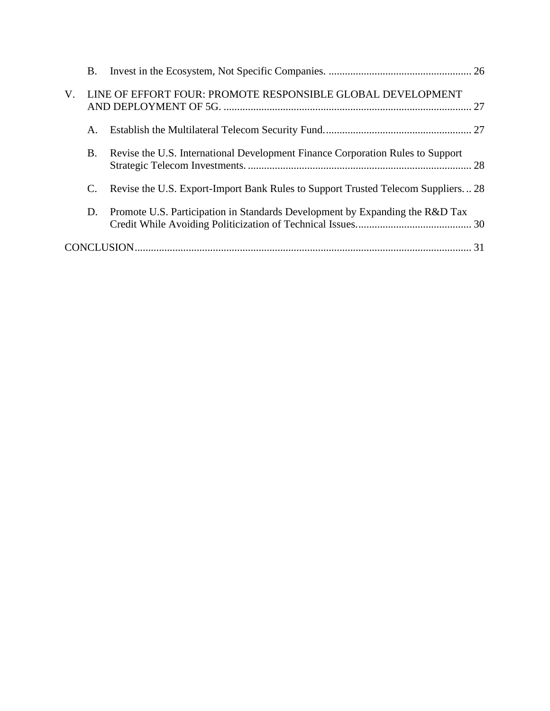|    | <b>B.</b> |                                                                                  |  |
|----|-----------|----------------------------------------------------------------------------------|--|
| V. |           | LINE OF EFFORT FOUR: PROMOTE RESPONSIBLE GLOBAL DEVELOPMENT                      |  |
|    | Α.        |                                                                                  |  |
|    | <b>B.</b> | Revise the U.S. International Development Finance Corporation Rules to Support   |  |
|    | C.        | Revise the U.S. Export-Import Bank Rules to Support Trusted Telecom Suppliers 28 |  |
|    | D.        | Promote U.S. Participation in Standards Development by Expanding the R&D Tax     |  |
|    |           |                                                                                  |  |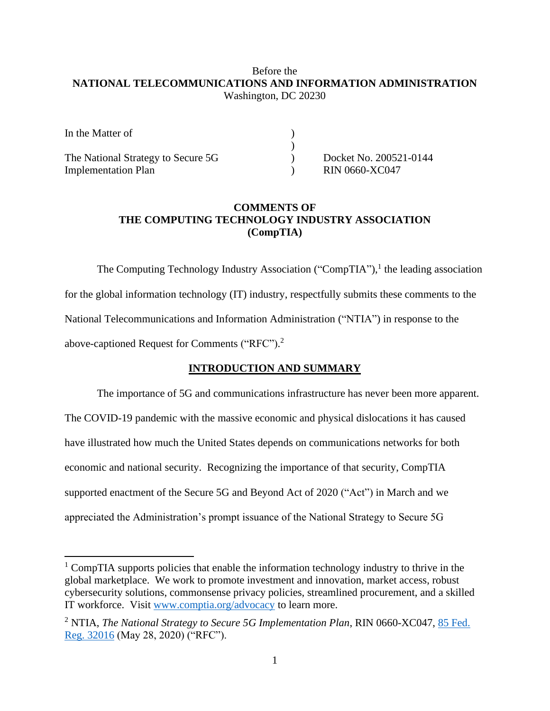## Before the **NATIONAL TELECOMMUNICATIONS AND INFORMATION ADMINISTRATION** Washington, DC 20230

| In the Matter of                   |                        |
|------------------------------------|------------------------|
|                                    |                        |
| The National Strategy to Secure 5G | Docket No. 200521-0144 |
| <b>Implementation Plan</b>         | <b>RIN 0660-XC047</b>  |

## **COMMENTS OF THE COMPUTING TECHNOLOGY INDUSTRY ASSOCIATION (CompTIA)**

The Computing Technology Industry Association ("CompTIA"),<sup>1</sup> the leading association for the global information technology (IT) industry, respectfully submits these comments to the National Telecommunications and Information Administration ("NTIA") in response to the above-captioned Request for Comments ("RFC").<sup>2</sup>

### **INTRODUCTION AND SUMMARY**

<span id="page-3-0"></span>The importance of 5G and communications infrastructure has never been more apparent. The COVID-19 pandemic with the massive economic and physical dislocations it has caused have illustrated how much the United States depends on communications networks for both economic and national security. Recognizing the importance of that security, CompTIA supported enactment of the Secure 5G and Beyond Act of 2020 ("Act") in March and we appreciated the Administration's prompt issuance of the National Strategy to Secure 5G

<sup>&</sup>lt;sup>1</sup> CompTIA supports policies that enable the information technology industry to thrive in the global marketplace. We work to promote investment and innovation, market access, robust cybersecurity solutions, commonsense privacy policies, streamlined procurement, and a skilled IT workforce. Visit [www.comptia.org/advocacy](http://www.comptia.org/advocacy) to learn more.

<sup>2</sup> NTIA, *The National Strategy to Secure 5G Implementation Plan*, RIN 0660-XC047, [85 Fed.](https://www.govinfo.gov/content/pkg/FR-2020-05-28/pdf/2020-11398.pdf)  [Reg. 32016](https://www.govinfo.gov/content/pkg/FR-2020-05-28/pdf/2020-11398.pdf) (May 28, 2020) ("RFC").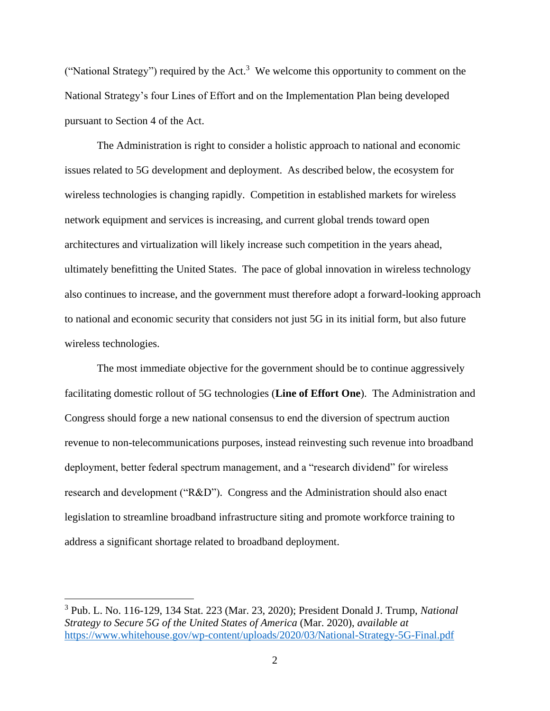("National Strategy") required by the Act.<sup>3</sup> We welcome this opportunity to comment on the National Strategy's four Lines of Effort and on the Implementation Plan being developed pursuant to Section 4 of the Act.

The Administration is right to consider a holistic approach to national and economic issues related to 5G development and deployment. As described below, the ecosystem for wireless technologies is changing rapidly. Competition in established markets for wireless network equipment and services is increasing, and current global trends toward open architectures and virtualization will likely increase such competition in the years ahead, ultimately benefitting the United States. The pace of global innovation in wireless technology also continues to increase, and the government must therefore adopt a forward-looking approach to national and economic security that considers not just 5G in its initial form, but also future wireless technologies.

The most immediate objective for the government should be to continue aggressively facilitating domestic rollout of 5G technologies (**Line of Effort One**). The Administration and Congress should forge a new national consensus to end the diversion of spectrum auction revenue to non-telecommunications purposes, instead reinvesting such revenue into broadband deployment, better federal spectrum management, and a "research dividend" for wireless research and development ("R&D"). Congress and the Administration should also enact legislation to streamline broadband infrastructure siting and promote workforce training to address a significant shortage related to broadband deployment.

<sup>3</sup> Pub. L. No. 116-129, 134 Stat. 223 (Mar. 23, 2020); President Donald J. Trump, *National Strategy to Secure 5G of the United States of America* (Mar. 2020), *available at* <https://www.whitehouse.gov/wp-content/uploads/2020/03/National-Strategy-5G-Final.pdf>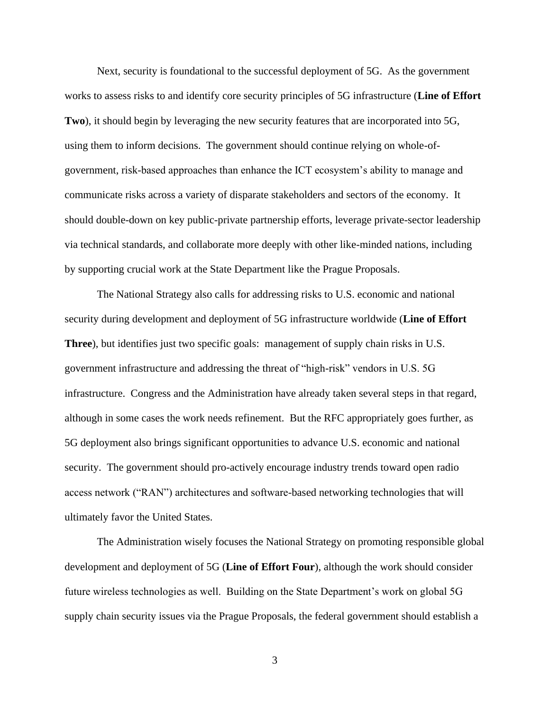Next, security is foundational to the successful deployment of 5G. As the government works to assess risks to and identify core security principles of 5G infrastructure (**Line of Effort Two**), it should begin by leveraging the new security features that are incorporated into 5G, using them to inform decisions. The government should continue relying on whole-ofgovernment, risk-based approaches than enhance the ICT ecosystem's ability to manage and communicate risks across a variety of disparate stakeholders and sectors of the economy. It should double-down on key public-private partnership efforts, leverage private-sector leadership via technical standards, and collaborate more deeply with other like-minded nations, including by supporting crucial work at the State Department like the Prague Proposals.

The National Strategy also calls for addressing risks to U.S. economic and national security during development and deployment of 5G infrastructure worldwide (**Line of Effort Three**), but identifies just two specific goals: management of supply chain risks in U.S. government infrastructure and addressing the threat of "high-risk" vendors in U.S. 5G infrastructure. Congress and the Administration have already taken several steps in that regard, although in some cases the work needs refinement. But the RFC appropriately goes further, as 5G deployment also brings significant opportunities to advance U.S. economic and national security. The government should pro-actively encourage industry trends toward open radio access network ("RAN") architectures and software-based networking technologies that will ultimately favor the United States.

The Administration wisely focuses the National Strategy on promoting responsible global development and deployment of 5G (**Line of Effort Four**), although the work should consider future wireless technologies as well. Building on the State Department's work on global 5G supply chain security issues via the Prague Proposals, the federal government should establish a

3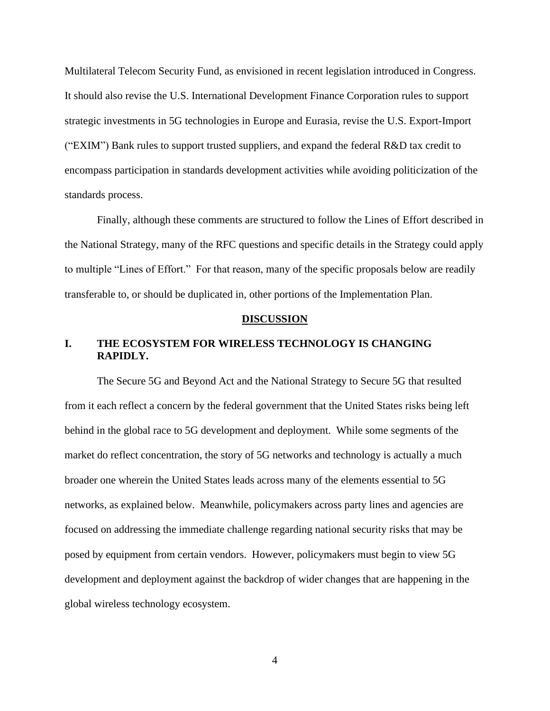Multilateral Telecom Security Fund, as envisioned in recent legislation introduced in Congress. It should also revise the U.S. International Development Finance Corporation rules to support strategic investments in 5G technologies in Europe and Eurasia, revise the U.S. Export-Import ("EXIM") Bank rules to support trusted suppliers, and expand the federal R&D tax credit to encompass participation in standards development activities while avoiding politicization of the standards process.

Finally, although these comments are structured to follow the Lines of Effort described in the National Strategy, many of the RFC questions and specific details in the Strategy could apply to multiple "Lines of Effort." For that reason, many of the specific proposals below are readily transferable to, or should be duplicated in, other portions of the Implementation Plan.

#### **DISCUSSION**

## <span id="page-6-0"></span>**I. THE ECOSYSTEM FOR WIRELESS TECHNOLOGY IS CHANGING RAPIDLY.**

The Secure 5G and Beyond Act and the National Strategy to Secure 5G that resulted from it each reflect a concern by the federal government that the United States risks being left behind in the global race to 5G development and deployment. While some segments of the market do reflect concentration, the story of 5G networks and technology is actually a much broader one wherein the United States leads across many of the elements essential to 5G networks, as explained below. Meanwhile, policymakers across party lines and agencies are focused on addressing the immediate challenge regarding national security risks that may be posed by equipment from certain vendors. However, policymakers must begin to view 5G development and deployment against the backdrop of wider changes that are happening in the global wireless technology ecosystem.

4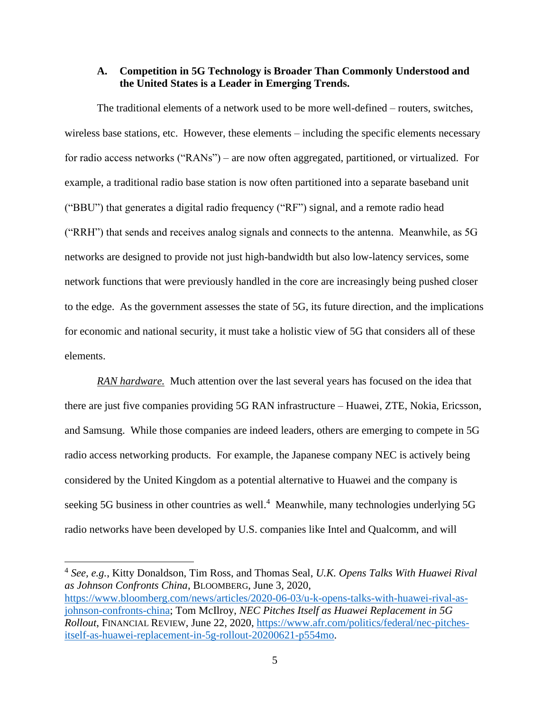### <span id="page-7-0"></span>**A. Competition in 5G Technology is Broader Than Commonly Understood and the United States is a Leader in Emerging Trends.**

The traditional elements of a network used to be more well-defined – routers, switches, wireless base stations, etc. However, these elements – including the specific elements necessary for radio access networks ("RANs") – are now often aggregated, partitioned, or virtualized. For example, a traditional radio base station is now often partitioned into a separate baseband unit ("BBU") that generates a digital radio frequency ("RF") signal, and a remote radio head ("RRH") that sends and receives analog signals and connects to the antenna. Meanwhile, as 5G networks are designed to provide not just high-bandwidth but also low-latency services, some network functions that were previously handled in the core are increasingly being pushed closer to the edge. As the government assesses the state of 5G, its future direction, and the implications for economic and national security, it must take a holistic view of 5G that considers all of these elements.

*RAN hardware.* Much attention over the last several years has focused on the idea that there are just five companies providing 5G RAN infrastructure – Huawei, ZTE, Nokia, Ericsson, and Samsung. While those companies are indeed leaders, others are emerging to compete in 5G radio access networking products. For example, the Japanese company NEC is actively being considered by the United Kingdom as a potential alternative to Huawei and the company is seeking 5G business in other countries as well.<sup>4</sup> Meanwhile, many technologies underlying 5G radio networks have been developed by U.S. companies like Intel and Qualcomm, and will

<sup>4</sup> *See, e.g.*, Kitty Donaldson, Tim Ross, and Thomas Seal, *U.K. Opens Talks With Huawei Rival as Johnson Confronts China*, BLOOMBERG, June 3, 2020, [https://www.bloomberg.com/news/articles/2020-06-03/u-k-opens-talks-with-huawei-rival-as](https://www.bloomberg.com/news/articles/2020-06-03/u-k-opens-talks-with-huawei-rival-as-johnson-confronts-china)[johnson-confronts-china;](https://www.bloomberg.com/news/articles/2020-06-03/u-k-opens-talks-with-huawei-rival-as-johnson-confronts-china) Tom McIlroy, *NEC Pitches Itself as Huawei Replacement in 5G Rollout*, FINANCIAL REVIEW, June 22, 2020, [https://www.afr.com/politics/federal/nec-pitches](https://www.afr.com/politics/federal/nec-pitches-itself-as-huawei-replacement-in-5g-rollout-20200621-p554mo)[itself-as-huawei-replacement-in-5g-rollout-20200621-p554mo.](https://www.afr.com/politics/federal/nec-pitches-itself-as-huawei-replacement-in-5g-rollout-20200621-p554mo)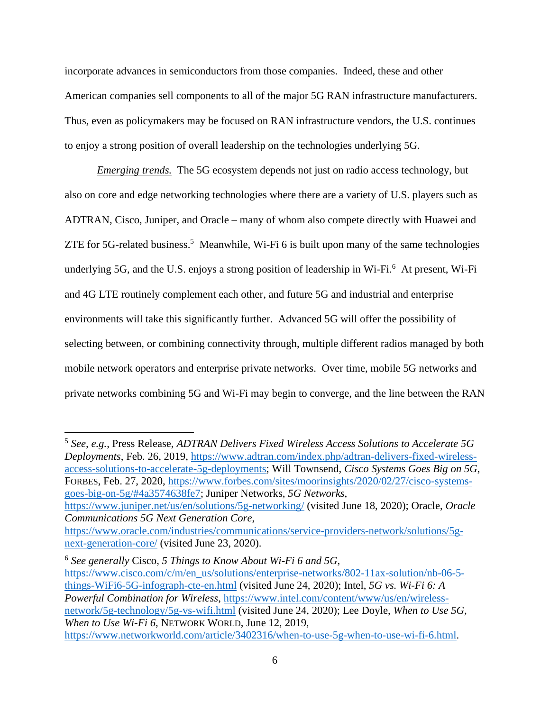incorporate advances in semiconductors from those companies. Indeed, these and other American companies sell components to all of the major 5G RAN infrastructure manufacturers. Thus, even as policymakers may be focused on RAN infrastructure vendors, the U.S. continues to enjoy a strong position of overall leadership on the technologies underlying 5G.

*Emerging trends.* The 5G ecosystem depends not just on radio access technology, but also on core and edge networking technologies where there are a variety of U.S. players such as ADTRAN, Cisco, Juniper, and Oracle – many of whom also compete directly with Huawei and ZTE for 5G-related business.<sup>5</sup> Meanwhile, Wi-Fi 6 is built upon many of the same technologies underlying 5G, and the U.S. enjoys a strong position of leadership in Wi-Fi.<sup>6</sup> At present, Wi-Fi and 4G LTE routinely complement each other, and future 5G and industrial and enterprise environments will take this significantly further. Advanced 5G will offer the possibility of selecting between, or combining connectivity through, multiple different radios managed by both mobile network operators and enterprise private networks. Over time, mobile 5G networks and private networks combining 5G and Wi-Fi may begin to converge, and the line between the RAN

5 *See, e.g.*, Press Release, *ADTRAN Delivers Fixed Wireless Access Solutions to Accelerate 5G Deployments*, Feb. 26, 2019, [https://www.adtran.com/index.php/adtran-delivers-fixed-wireless](https://www.adtran.com/index.php/adtran-delivers-fixed-wireless-access-solutions-to-accelerate-5g-deployments)[access-solutions-to-accelerate-5g-deployments;](https://www.adtran.com/index.php/adtran-delivers-fixed-wireless-access-solutions-to-accelerate-5g-deployments) Will Townsend, *Cisco Systems Goes Big on 5G*, FORBES, Feb. 27, 2020, [https://www.forbes.com/sites/moorinsights/2020/02/27/cisco-systems](https://www.forbes.com/sites/moorinsights/2020/02/27/cisco-systems-goes-big-on-5g/#4a3574638fe7)[goes-big-on-5g/#4a3574638fe7;](https://www.forbes.com/sites/moorinsights/2020/02/27/cisco-systems-goes-big-on-5g/#4a3574638fe7) Juniper Networks, *5G Networks*, <https://www.juniper.net/us/en/solutions/5g-networking/> (visited June 18, 2020); Oracle, *Oracle Communications 5G Next Generation Core*,

6 *See generally* Cisco, *5 Things to Know About Wi-Fi 6 and 5G*, [https://www.cisco.com/c/m/en\\_us/solutions/enterprise-networks/802-11ax-solution/nb-06-5](https://www.cisco.com/c/m/en_us/solutions/enterprise-networks/802-11ax-solution/nb-06-5-things-WiFi6-5G-infograph-cte-en.html) [things-WiFi6-5G-infograph-cte-en.html](https://www.cisco.com/c/m/en_us/solutions/enterprise-networks/802-11ax-solution/nb-06-5-things-WiFi6-5G-infograph-cte-en.html) (visited June 24, 2020); Intel, *5G vs. Wi-Fi 6: A Powerful Combination for Wireless*, [https://www.intel.com/content/www/us/en/wireless](https://www.intel.com/content/www/us/en/wireless-network/5g-technology/5g-vs-wifi.html)[network/5g-technology/5g-vs-wifi.html](https://www.intel.com/content/www/us/en/wireless-network/5g-technology/5g-vs-wifi.html) (visited June 24, 2020); Lee Doyle, *When to Use 5G, When to Use Wi-Fi 6*, NETWORK WORLD, June 12, 2019, [https://www.networkworld.com/article/3402316/when-to-use-5g-when-to-use-wi-fi-6.html.](https://www.networkworld.com/article/3402316/when-to-use-5g-when-to-use-wi-fi-6.html)

[https://www.oracle.com/industries/communications/service-providers-network/solutions/5g](https://www.oracle.com/industries/communications/service-providers-network/solutions/5g-next-generation-core/)[next-generation-core/](https://www.oracle.com/industries/communications/service-providers-network/solutions/5g-next-generation-core/) (visited June 23, 2020).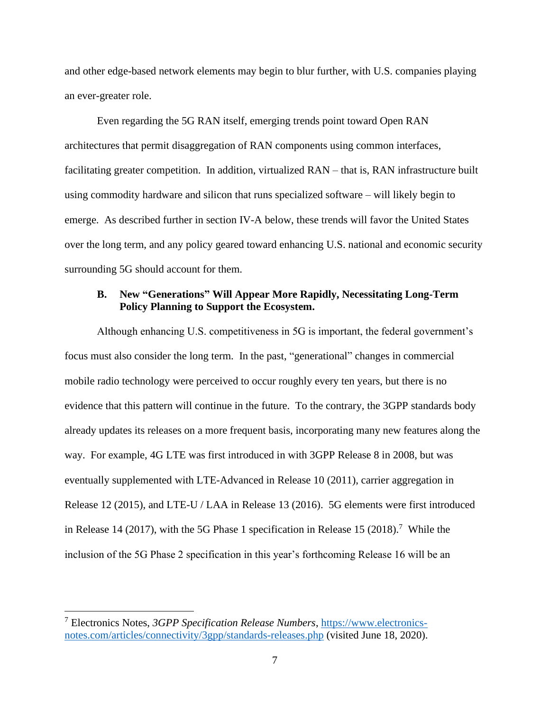and other edge-based network elements may begin to blur further, with U.S. companies playing an ever-greater role.

Even regarding the 5G RAN itself, emerging trends point toward Open RAN architectures that permit disaggregation of RAN components using common interfaces, facilitating greater competition. In addition, virtualized RAN – that is, RAN infrastructure built using commodity hardware and silicon that runs specialized software – will likely begin to emerge. As described further in section IV-A below, these trends will favor the United States over the long term, and any policy geared toward enhancing U.S. national and economic security surrounding 5G should account for them.

### <span id="page-9-0"></span>**B. New "Generations" Will Appear More Rapidly, Necessitating Long-Term Policy Planning to Support the Ecosystem.**

Although enhancing U.S. competitiveness in 5G is important, the federal government's focus must also consider the long term. In the past, "generational" changes in commercial mobile radio technology were perceived to occur roughly every ten years, but there is no evidence that this pattern will continue in the future. To the contrary, the 3GPP standards body already updates its releases on a more frequent basis, incorporating many new features along the way. For example, 4G LTE was first introduced in with 3GPP Release 8 in 2008, but was eventually supplemented with LTE-Advanced in Release 10 (2011), carrier aggregation in Release 12 (2015), and LTE-U / LAA in Release 13 (2016). 5G elements were first introduced in Release 14 (2017), with the 5G Phase 1 specification in Release 15 (2018).<sup>7</sup> While the inclusion of the 5G Phase 2 specification in this year's forthcoming Release 16 will be an

<sup>7</sup> Electronics Notes, *3GPP Specification Release Numbers*, [https://www.electronics](https://www.electronics-notes.com/articles/connectivity/3gpp/standards-releases.php)[notes.com/articles/connectivity/3gpp/standards-releases.php](https://www.electronics-notes.com/articles/connectivity/3gpp/standards-releases.php) (visited June 18, 2020).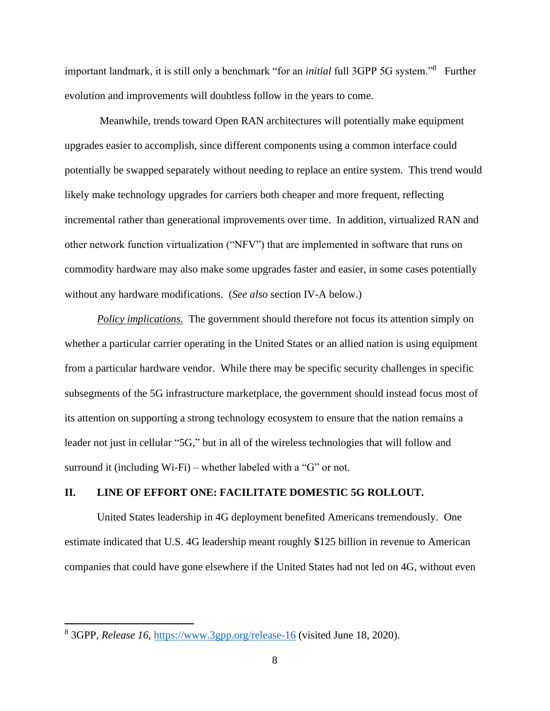important landmark, it is still only a benchmark "for an *initial* full 3GPP 5G system."<sup>8</sup> Further evolution and improvements will doubtless follow in the years to come.

Meanwhile, trends toward Open RAN architectures will potentially make equipment upgrades easier to accomplish, since different components using a common interface could potentially be swapped separately without needing to replace an entire system. This trend would likely make technology upgrades for carriers both cheaper and more frequent, reflecting incremental rather than generational improvements over time. In addition, virtualized RAN and other network function virtualization ("NFV") that are implemented in software that runs on commodity hardware may also make some upgrades faster and easier, in some cases potentially without any hardware modifications. (*See also* section IV-A below.)

*Policy implications.* The government should therefore not focus its attention simply on whether a particular carrier operating in the United States or an allied nation is using equipment from a particular hardware vendor. While there may be specific security challenges in specific subsegments of the 5G infrastructure marketplace, the government should instead focus most of its attention on supporting a strong technology ecosystem to ensure that the nation remains a leader not just in cellular "5G," but in all of the wireless technologies that will follow and surround it (including Wi-Fi) – whether labeled with a "G" or not.

### <span id="page-10-0"></span>**II. LINE OF EFFORT ONE: FACILITATE DOMESTIC 5G ROLLOUT.**

United States leadership in 4G deployment benefited Americans tremendously. One estimate indicated that U.S. 4G leadership meant roughly \$125 billion in revenue to American companies that could have gone elsewhere if the United States had not led on 4G, without even

<sup>&</sup>lt;sup>8</sup> 3GPP, *Release 16*,<https://www.3gpp.org/release-16> (visited June 18, 2020).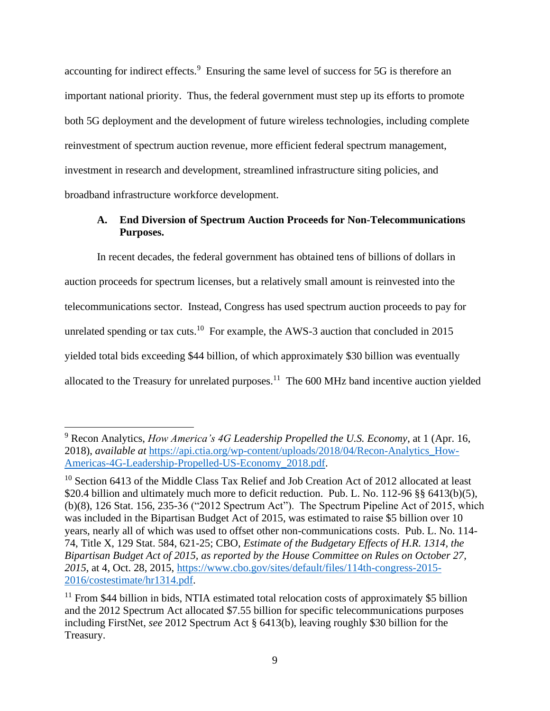accounting for indirect effects.<sup>9</sup> Ensuring the same level of success for 5G is therefore an important national priority. Thus, the federal government must step up its efforts to promote both 5G deployment and the development of future wireless technologies, including complete reinvestment of spectrum auction revenue, more efficient federal spectrum management, investment in research and development, streamlined infrastructure siting policies, and broadband infrastructure workforce development.

## <span id="page-11-0"></span>**A. End Diversion of Spectrum Auction Proceeds for Non-Telecommunications Purposes.**

In recent decades, the federal government has obtained tens of billions of dollars in auction proceeds for spectrum licenses, but a relatively small amount is reinvested into the telecommunications sector. Instead, Congress has used spectrum auction proceeds to pay for unrelated spending or tax cuts.<sup>10</sup> For example, the AWS-3 auction that concluded in 2015 yielded total bids exceeding \$44 billion, of which approximately \$30 billion was eventually allocated to the Treasury for unrelated purposes.<sup>11</sup> The  $600$  MHz band incentive auction yielded

<sup>9</sup> Recon Analytics, *How America's 4G Leadership Propelled the U.S. Economy*, at 1 (Apr. 16, 2018), *available at* [https://api.ctia.org/wp-content/uploads/2018/04/Recon-Analytics\\_How-](https://api.ctia.org/wp-content/uploads/2018/04/Recon-Analytics_How-Americas-4G-Leadership-Propelled-US-Economy_2018.pdf)[Americas-4G-Leadership-Propelled-US-Economy\\_2018.pdf.](https://api.ctia.org/wp-content/uploads/2018/04/Recon-Analytics_How-Americas-4G-Leadership-Propelled-US-Economy_2018.pdf)

 $10$  Section 6413 of the Middle Class Tax Relief and Job Creation Act of 2012 allocated at least \$20.4 billion and ultimately much more to deficit reduction. Pub. L. No. 112-96 §§ 6413(b)(5), (b)(8), 126 Stat. 156, 235-36 ("2012 Spectrum Act"). The Spectrum Pipeline Act of 2015, which was included in the Bipartisan Budget Act of 2015, was estimated to raise \$5 billion over 10 years, nearly all of which was used to offset other non-communications costs. Pub. L. No. 114- 74, Title X, 129 Stat. 584, 621-25; CBO, *Estimate of the Budgetary Effects of H.R. 1314, the Bipartisan Budget Act of 2015, as reported by the House Committee on Rules on October 27, 2015*, at 4, Oct. 28, 2015, [https://www.cbo.gov/sites/default/files/114th-congress-2015-](https://www.cbo.gov/sites/default/files/114th-congress-2015-2016/costestimate/hr1314.pdf) [2016/costestimate/hr1314.pdf.](https://www.cbo.gov/sites/default/files/114th-congress-2015-2016/costestimate/hr1314.pdf)

 $11$  From \$44 billion in bids, NTIA estimated total relocation costs of approximately \$5 billion and the 2012 Spectrum Act allocated \$7.55 billion for specific telecommunications purposes including FirstNet, *see* 2012 Spectrum Act § 6413(b), leaving roughly \$30 billion for the Treasury.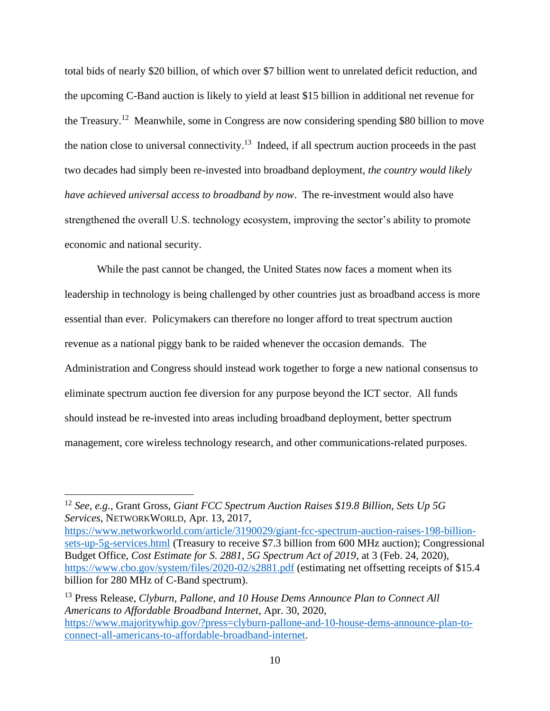total bids of nearly \$20 billion, of which over \$7 billion went to unrelated deficit reduction, and the upcoming C-Band auction is likely to yield at least \$15 billion in additional net revenue for the Treasury.<sup>12</sup> Meanwhile, some in Congress are now considering spending \$80 billion to move the nation close to universal connectivity.<sup>13</sup> Indeed, if all spectrum auction proceeds in the past two decades had simply been re-invested into broadband deployment, *the country would likely have achieved universal access to broadband by now*. The re-investment would also have strengthened the overall U.S. technology ecosystem, improving the sector's ability to promote economic and national security.

While the past cannot be changed, the United States now faces a moment when its leadership in technology is being challenged by other countries just as broadband access is more essential than ever. Policymakers can therefore no longer afford to treat spectrum auction revenue as a national piggy bank to be raided whenever the occasion demands. The Administration and Congress should instead work together to forge a new national consensus to eliminate spectrum auction fee diversion for any purpose beyond the ICT sector. All funds should instead be re-invested into areas including broadband deployment, better spectrum management, core wireless technology research, and other communications-related purposes.

<sup>12</sup> *See, e.g.,* Grant Gross, *Giant FCC Spectrum Auction Raises \$19.8 Billion, Sets Up 5G Services*, NETWORKWORLD, Apr. 13, 2017,

[https://www.networkworld.com/article/3190029/giant-fcc-spectrum-auction-raises-198-billion](https://www.networkworld.com/article/3190029/giant-fcc-spectrum-auction-raises-198-billion-sets-up-5g-services.html)[sets-up-5g-services.html](https://www.networkworld.com/article/3190029/giant-fcc-spectrum-auction-raises-198-billion-sets-up-5g-services.html) (Treasury to receive \$7.3 billion from 600 MHz auction); Congressional Budget Office, *Cost Estimate for S. 2881, 5G Spectrum Act of 2019*, at 3 (Feb. 24, 2020), <https://www.cbo.gov/system/files/2020-02/s2881.pdf> (estimating net offsetting receipts of \$15.4 billion for 280 MHz of C-Band spectrum).

<sup>13</sup> Press Release, *Clyburn, Pallone, and 10 House Dems Announce Plan to Connect All Americans to Affordable Broadband Internet*, Apr. 30, 2020, [https://www.majoritywhip.gov/?press=clyburn-pallone-and-10-house-dems-announce-plan-to](https://www.majoritywhip.gov/?press=clyburn-pallone-and-10-house-dems-announce-plan-to-connect-all-americans-to-affordable-broadband-internet)[connect-all-americans-to-affordable-broadband-internet.](https://www.majoritywhip.gov/?press=clyburn-pallone-and-10-house-dems-announce-plan-to-connect-all-americans-to-affordable-broadband-internet)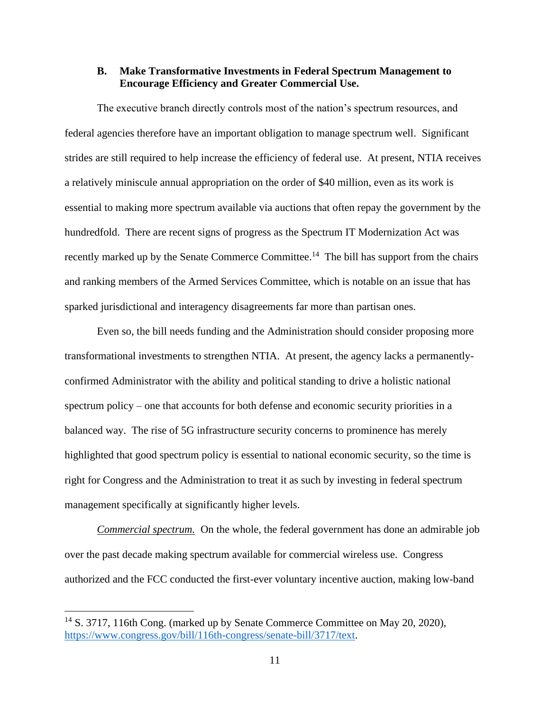### <span id="page-13-0"></span>**B. Make Transformative Investments in Federal Spectrum Management to Encourage Efficiency and Greater Commercial Use.**

The executive branch directly controls most of the nation's spectrum resources, and federal agencies therefore have an important obligation to manage spectrum well. Significant strides are still required to help increase the efficiency of federal use. At present, NTIA receives a relatively miniscule annual appropriation on the order of \$40 million, even as its work is essential to making more spectrum available via auctions that often repay the government by the hundredfold. There are recent signs of progress as the Spectrum IT Modernization Act was recently marked up by the Senate Commerce Committee.<sup>14</sup> The bill has support from the chairs and ranking members of the Armed Services Committee, which is notable on an issue that has sparked jurisdictional and interagency disagreements far more than partisan ones.

Even so, the bill needs funding and the Administration should consider proposing more transformational investments to strengthen NTIA. At present, the agency lacks a permanentlyconfirmed Administrator with the ability and political standing to drive a holistic national spectrum policy – one that accounts for both defense and economic security priorities in a balanced way. The rise of 5G infrastructure security concerns to prominence has merely highlighted that good spectrum policy is essential to national economic security, so the time is right for Congress and the Administration to treat it as such by investing in federal spectrum management specifically at significantly higher levels.

*Commercial spectrum.* On the whole, the federal government has done an admirable job over the past decade making spectrum available for commercial wireless use. Congress authorized and the FCC conducted the first-ever voluntary incentive auction, making low-band

<sup>&</sup>lt;sup>14</sup> S. 3717, 116th Cong. (marked up by Senate Commerce Committee on May 20, 2020), [https://www.congress.gov/bill/116th-congress/senate-bill/3717/text.](https://www.congress.gov/bill/116th-congress/senate-bill/3717/text)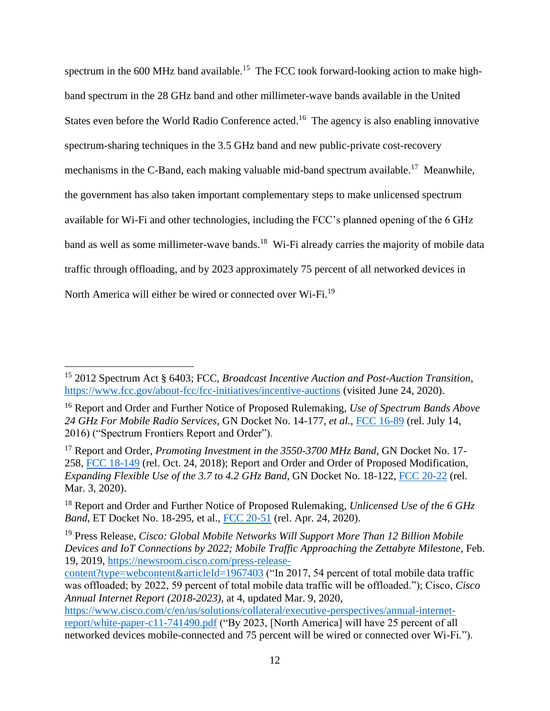spectrum in the 600 MHz band available.<sup>15</sup> The FCC took forward-looking action to make highband spectrum in the 28 GHz band and other millimeter-wave bands available in the United States even before the World Radio Conference acted.<sup>16</sup> The agency is also enabling innovative spectrum-sharing techniques in the 3.5 GHz band and new public-private cost-recovery mechanisms in the C-Band, each making valuable mid-band spectrum available.<sup>17</sup> Meanwhile, the government has also taken important complementary steps to make unlicensed spectrum available for Wi-Fi and other technologies, including the FCC's planned opening of the 6 GHz band as well as some millimeter-wave bands.<sup>18</sup> Wi-Fi already carries the majority of mobile data traffic through offloading, and by 2023 approximately 75 percent of all networked devices in North America will either be wired or connected over Wi-Fi.<sup>19</sup>

<sup>15</sup> 2012 Spectrum Act § 6403; FCC, *Broadcast Incentive Auction and Post-Auction Transition*, <https://www.fcc.gov/about-fcc/fcc-initiatives/incentive-auctions> (visited June 24, 2020).

<sup>16</sup> Report and Order and Further Notice of Proposed Rulemaking, *Use of Spectrum Bands Above 24 GHz For Mobile Radio Services*, GN Docket No. 14-177, *et al.*, [FCC 16-89](https://docs.fcc.gov/public/attachments/FCC-16-89A1.pdf) (rel. July 14, 2016) ("Spectrum Frontiers Report and Order").

<sup>17</sup> Report and Order, *Promoting Investment in the 3550-3700 MHz Band*, GN Docket No. 17- 258, [FCC 18-149](https://docs.fcc.gov/public/attachments/FCC-18-149A1.pdf) (rel. Oct. 24, 2018); Report and Order and Order of Proposed Modification, *Expanding Flexible Use of the 3.7 to 4.2 GHz Band*, GN Docket No. 18-122, [FCC 20-22](https://docs.fcc.gov/public/attachments/FCC-20-22A1.pdf) (rel. Mar. 3, 2020).

<sup>18</sup> Report and Order and Further Notice of Proposed Rulemaking, *Unlicensed Use of the 6 GHz Band*, ET Docket No. 18-295, et al., [FCC 20-51](https://docs.fcc.gov/public/attachments/FCC-20-51A1.pdf) (rel. Apr. 24, 2020).

<sup>19</sup> Press Release, *Cisco: Global Mobile Networks Will Support More Than 12 Billion Mobile Devices and IoT Connections by 2022; Mobile Traffic Approaching the Zettabyte Milestone*, Feb. 19, 2019, [https://newsroom.cisco.com/press-release-](https://newsroom.cisco.com/press-release-content?type=webcontent&articleId=1967403)

[content?type=webcontent&articleId=1967403](https://newsroom.cisco.com/press-release-content?type=webcontent&articleId=1967403) ("In 2017, 54 percent of total mobile data traffic was offloaded; by 2022, 59 percent of total mobile data traffic will be offloaded."); Cisco, *Cisco Annual Internet Report (2018-2023)*, at 4, updated Mar. 9, 2020,

[https://www.cisco.com/c/en/us/solutions/collateral/executive-perspectives/annual-internet](https://www.cisco.com/c/en/us/solutions/collateral/executive-perspectives/annual-internet-report/white-paper-c11-741490.pdf)[report/white-paper-c11-741490.pdf](https://www.cisco.com/c/en/us/solutions/collateral/executive-perspectives/annual-internet-report/white-paper-c11-741490.pdf) ("By 2023, [North America] will have 25 percent of all networked devices mobile-connected and 75 percent will be wired or connected over Wi-Fi.").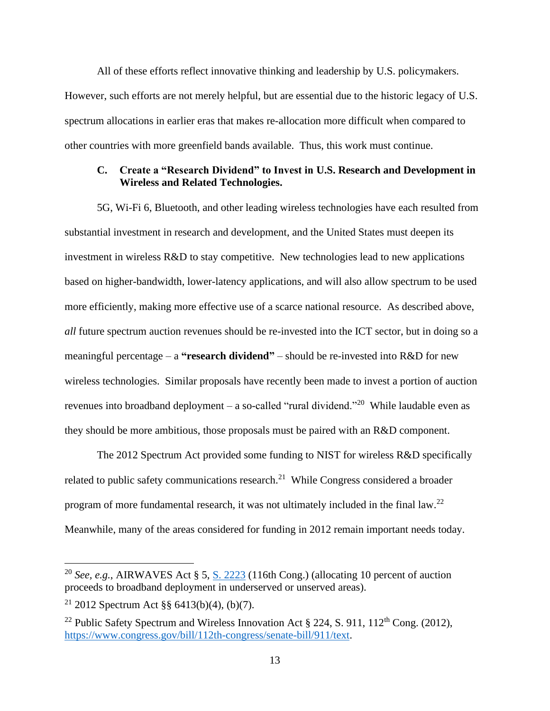All of these efforts reflect innovative thinking and leadership by U.S. policymakers. However, such efforts are not merely helpful, but are essential due to the historic legacy of U.S. spectrum allocations in earlier eras that makes re-allocation more difficult when compared to other countries with more greenfield bands available. Thus, this work must continue.

### <span id="page-15-0"></span>**C. Create a "Research Dividend" to Invest in U.S. Research and Development in Wireless and Related Technologies.**

5G, Wi-Fi 6, Bluetooth, and other leading wireless technologies have each resulted from substantial investment in research and development, and the United States must deepen its investment in wireless R&D to stay competitive. New technologies lead to new applications based on higher-bandwidth, lower-latency applications, and will also allow spectrum to be used more efficiently, making more effective use of a scarce national resource. As described above, *all* future spectrum auction revenues should be re-invested into the ICT sector, but in doing so a meaningful percentage – a **"research dividend"** – should be re-invested into R&D for new wireless technologies. Similar proposals have recently been made to invest a portion of auction revenues into broadband deployment – a so-called "rural dividend."<sup>20</sup> While laudable even as they should be more ambitious, those proposals must be paired with an R&D component.

The 2012 Spectrum Act provided some funding to NIST for wireless R&D specifically related to public safety communications research.<sup>21</sup> While Congress considered a broader program of more fundamental research, it was not ultimately included in the final law.<sup>22</sup> Meanwhile, many of the areas considered for funding in 2012 remain important needs today.

<sup>20</sup> *See, e.g.*, AIRWAVES Act § 5, [S. 2223](https://www.congress.gov/bill/116th-congress/senate-bill/2223/text) (116th Cong.) (allocating 10 percent of auction proceeds to broadband deployment in underserved or unserved areas).

<sup>&</sup>lt;sup>21</sup> 2012 Spectrum Act §§ 6413(b)(4), (b)(7).

<sup>&</sup>lt;sup>22</sup> Public Safety Spectrum and Wireless Innovation Act  $\S$  224, S. 911, 112<sup>th</sup> Cong. (2012), [https://www.congress.gov/bill/112th-congress/senate-bill/911/text.](https://www.congress.gov/bill/112th-congress/senate-bill/911/text)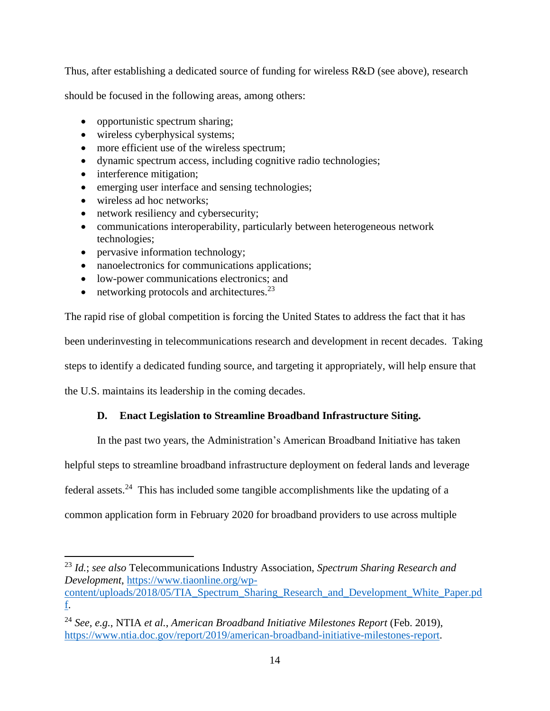Thus, after establishing a dedicated source of funding for wireless R&D (see above), research

should be focused in the following areas, among others:

- opportunistic spectrum sharing;
- wireless cyberphysical systems;
- more efficient use of the wireless spectrum;
- dynamic spectrum access, including cognitive radio technologies;
- interference mitigation;
- emerging user interface and sensing technologies;
- wireless ad hoc networks;
- network resiliency and cybersecurity;
- communications interoperability, particularly between heterogeneous network technologies;
- pervasive information technology;
- nanoelectronics for communications applications;
- low-power communications electronics; and
- networking protocols and architectures. $^{23}$

The rapid rise of global competition is forcing the United States to address the fact that it has

been underinvesting in telecommunications research and development in recent decades. Taking

steps to identify a dedicated funding source, and targeting it appropriately, will help ensure that

<span id="page-16-0"></span>the U.S. maintains its leadership in the coming decades.

## **D. Enact Legislation to Streamline Broadband Infrastructure Siting.**

In the past two years, the Administration's American Broadband Initiative has taken

helpful steps to streamline broadband infrastructure deployment on federal lands and leverage

federal assets.<sup>24</sup> This has included some tangible accomplishments like the updating of a

common application form in February 2020 for broadband providers to use across multiple

<sup>23</sup> *Id.*; *see also* Telecommunications Industry Association, *Spectrum Sharing Research and Development*, [https://www.tiaonline.org/wp-](https://www.tiaonline.org/wp-content/uploads/2018/05/TIA_Spectrum_Sharing_Research_and_Development_White_Paper.pdf)

[content/uploads/2018/05/TIA\\_Spectrum\\_Sharing\\_Research\\_and\\_Development\\_White\\_Paper.pd](https://www.tiaonline.org/wp-content/uploads/2018/05/TIA_Spectrum_Sharing_Research_and_Development_White_Paper.pdf) [f.](https://www.tiaonline.org/wp-content/uploads/2018/05/TIA_Spectrum_Sharing_Research_and_Development_White_Paper.pdf)

<sup>24</sup> *See, e.g.*, NTIA *et al.*, *American Broadband Initiative Milestones Report* (Feb. 2019), [https://www.ntia.doc.gov/report/2019/american-broadband-initiative-milestones-report.](https://www.ntia.doc.gov/report/2019/american-broadband-initiative-milestones-report)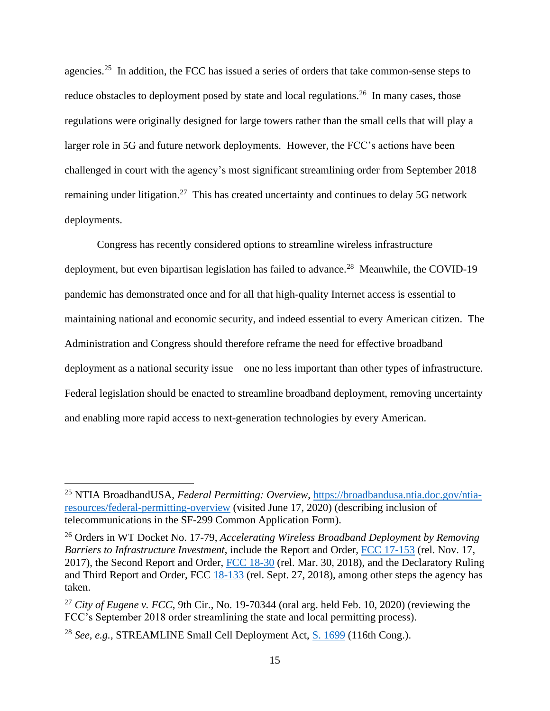agencies.<sup>25</sup> In addition, the FCC has issued a series of orders that take common-sense steps to reduce obstacles to deployment posed by state and local regulations.<sup>26</sup> In many cases, those regulations were originally designed for large towers rather than the small cells that will play a larger role in 5G and future network deployments. However, the FCC's actions have been challenged in court with the agency's most significant streamlining order from September 2018 remaining under litigation.<sup>27</sup> This has created uncertainty and continues to delay 5G network deployments.

Congress has recently considered options to streamline wireless infrastructure deployment, but even bipartisan legislation has failed to advance.<sup>28</sup> Meanwhile, the COVID-19 pandemic has demonstrated once and for all that high-quality Internet access is essential to maintaining national and economic security, and indeed essential to every American citizen. The Administration and Congress should therefore reframe the need for effective broadband deployment as a national security issue – one no less important than other types of infrastructure. Federal legislation should be enacted to streamline broadband deployment, removing uncertainty and enabling more rapid access to next-generation technologies by every American.

<sup>25</sup> NTIA BroadbandUSA, *Federal Permitting: Overview*, [https://broadbandusa.ntia.doc.gov/ntia](https://broadbandusa.ntia.doc.gov/ntia-resources/federal-permitting-overview)[resources/federal-permitting-overview](https://broadbandusa.ntia.doc.gov/ntia-resources/federal-permitting-overview) (visited June 17, 2020) (describing inclusion of telecommunications in the SF-299 Common Application Form).

<sup>26</sup> Orders in WT Docket No. 17-79, *Accelerating Wireless Broadband Deployment by Removing Barriers to Infrastructure Investment*, include the Report and Order, [FCC 17-153](https://ecfsapi.fcc.gov/file/111766605895/FCC-17-153A1.pdf) (rel. Nov. 17, 2017), the Second Report and Order, [FCC 18-30](https://ecfsapi.fcc.gov/file/033033113547/FCC-18-30A1.pdf) (rel. Mar. 30, 2018), and the Declaratory Ruling and Third Report and Order, FCC [18-133](https://docs.fcc.gov/public/attachments/FCC-18-133A1.pdf) (rel. Sept. 27, 2018), among other steps the agency has taken.

<sup>&</sup>lt;sup>27</sup> *City of Eugene v. FCC*, 9th Cir., No. 19-70344 (oral arg. held Feb. 10, 2020) (reviewing the FCC's September 2018 order streamlining the state and local permitting process).

<sup>28</sup> *See, e.g.,* STREAMLINE Small Cell Deployment Act, [S. 1699](https://www.congress.gov/bill/116th-congress/senate-bill/1699/text) (116th Cong.).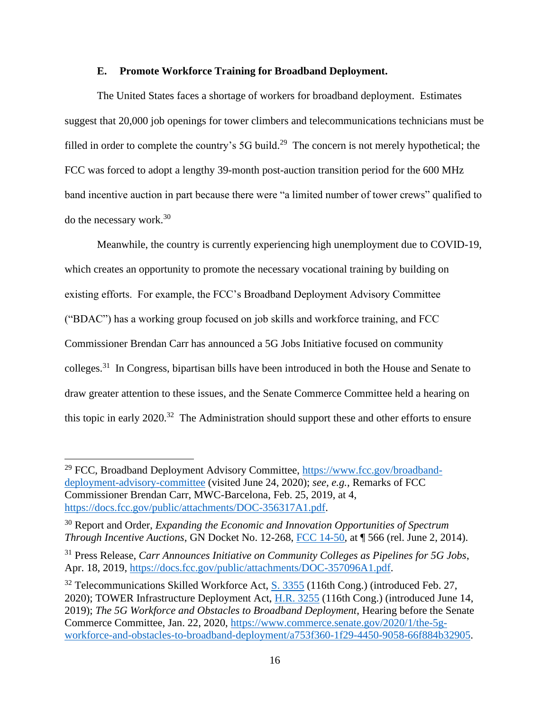### **E. Promote Workforce Training for Broadband Deployment.**

<span id="page-18-0"></span>The United States faces a shortage of workers for broadband deployment. Estimates suggest that 20,000 job openings for tower climbers and telecommunications technicians must be filled in order to complete the country's 5G build.<sup>29</sup> The concern is not merely hypothetical; the FCC was forced to adopt a lengthy 39-month post-auction transition period for the 600 MHz band incentive auction in part because there were "a limited number of tower crews" qualified to do the necessary work.<sup>30</sup>

Meanwhile, the country is currently experiencing high unemployment due to COVID-19, which creates an opportunity to promote the necessary vocational training by building on existing efforts. For example, the FCC's Broadband Deployment Advisory Committee ("BDAC") has a working group focused on job skills and workforce training, and FCC Commissioner Brendan Carr has announced a 5G Jobs Initiative focused on community colleges.<sup>31</sup> In Congress, bipartisan bills have been introduced in both the House and Senate to draw greater attention to these issues, and the Senate Commerce Committee held a hearing on this topic in early  $2020$ <sup>32</sup> The Administration should support these and other efforts to ensure

<sup>&</sup>lt;sup>29</sup> FCC, Broadband Deployment Advisory Committee, [https://www.fcc.gov/broadband](https://www.fcc.gov/broadband-deployment-advisory-committee)[deployment-advisory-committee](https://www.fcc.gov/broadband-deployment-advisory-committee) (visited June 24, 2020); *see, e.g.,* Remarks of FCC Commissioner Brendan Carr, MWC-Barcelona, Feb. 25, 2019, at 4, [https://docs.fcc.gov/public/attachments/DOC-356317A1.pdf.](https://docs.fcc.gov/public/attachments/DOC-356317A1.pdf)

<sup>30</sup> Report and Order, *Expanding the Economic and Innovation Opportunities of Spectrum Through Incentive Auctions*, GN Docket No. 12-268, [FCC 14-50,](https://docs.fcc.gov/public/attachments/FCC-14-50A1.pdf) at ¶ 566 (rel. June 2, 2014).

<sup>31</sup> Press Release, *Carr Announces Initiative on Community Colleges as Pipelines for 5G Jobs*, Apr. 18, 2019, [https://docs.fcc.gov/public/attachments/DOC-357096A1.pdf.](https://docs.fcc.gov/public/attachments/DOC-357096A1.pdf)

 $32$  Telecommunications Skilled Workforce Act, [S. 3355](https://www.congress.gov/bill/116th-congress/senate-bill/3355/text) (116th Cong.) (introduced Feb. 27, 2020); TOWER Infrastructure Deployment Act, [H.R. 3255](https://www.congress.gov/bill/116th-congress/house-bill/3255/text) (116th Cong.) (introduced June 14, 2019); *The 5G Workforce and Obstacles to Broadband Deployment*, Hearing before the Senate Commerce Committee, Jan. 22, 2020, [https://www.commerce.senate.gov/2020/1/the-5g](https://www.commerce.senate.gov/2020/1/the-5g-workforce-and-obstacles-to-broadband-deployment/a753f360-1f29-4450-9058-66f884b32905)[workforce-and-obstacles-to-broadband-deployment/a753f360-1f29-4450-9058-66f884b32905.](https://www.commerce.senate.gov/2020/1/the-5g-workforce-and-obstacles-to-broadband-deployment/a753f360-1f29-4450-9058-66f884b32905)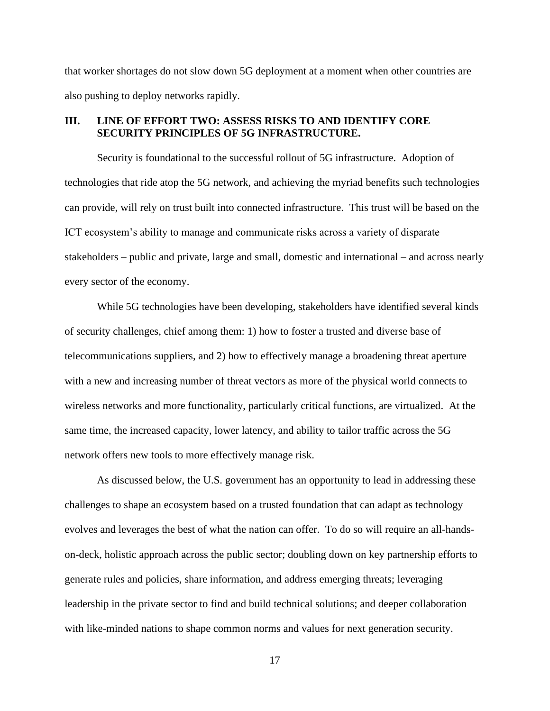that worker shortages do not slow down 5G deployment at a moment when other countries are also pushing to deploy networks rapidly.

## <span id="page-19-0"></span>**III. LINE OF EFFORT TWO: ASSESS RISKS TO AND IDENTIFY CORE SECURITY PRINCIPLES OF 5G INFRASTRUCTURE.**

Security is foundational to the successful rollout of 5G infrastructure. Adoption of technologies that ride atop the 5G network, and achieving the myriad benefits such technologies can provide, will rely on trust built into connected infrastructure. This trust will be based on the ICT ecosystem's ability to manage and communicate risks across a variety of disparate stakeholders – public and private, large and small, domestic and international – and across nearly every sector of the economy.

While 5G technologies have been developing, stakeholders have identified several kinds of security challenges, chief among them: 1) how to foster a trusted and diverse base of telecommunications suppliers, and 2) how to effectively manage a broadening threat aperture with a new and increasing number of threat vectors as more of the physical world connects to wireless networks and more functionality, particularly critical functions, are virtualized. At the same time, the increased capacity, lower latency, and ability to tailor traffic across the 5G network offers new tools to more effectively manage risk.

As discussed below, the U.S. government has an opportunity to lead in addressing these challenges to shape an ecosystem based on a trusted foundation that can adapt as technology evolves and leverages the best of what the nation can offer. To do so will require an all-handson-deck, holistic approach across the public sector; doubling down on key partnership efforts to generate rules and policies, share information, and address emerging threats; leveraging leadership in the private sector to find and build technical solutions; and deeper collaboration with like-minded nations to shape common norms and values for next generation security.

17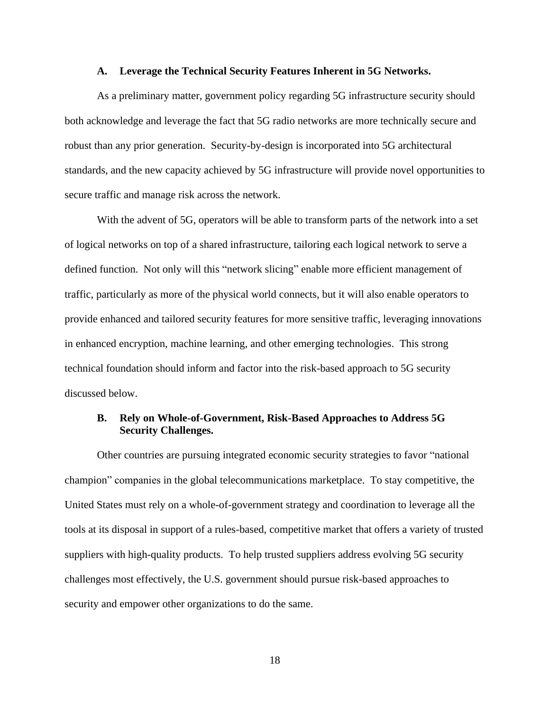#### **A. Leverage the Technical Security Features Inherent in 5G Networks.**

<span id="page-20-0"></span>As a preliminary matter, government policy regarding 5G infrastructure security should both acknowledge and leverage the fact that 5G radio networks are more technically secure and robust than any prior generation. Security-by-design is incorporated into 5G architectural standards, and the new capacity achieved by 5G infrastructure will provide novel opportunities to secure traffic and manage risk across the network.

With the advent of 5G, operators will be able to transform parts of the network into a set of logical networks on top of a shared infrastructure, tailoring each logical network to serve a defined function. Not only will this "network slicing" enable more efficient management of traffic, particularly as more of the physical world connects, but it will also enable operators to provide enhanced and tailored security features for more sensitive traffic, leveraging innovations in enhanced encryption, machine learning, and other emerging technologies. This strong technical foundation should inform and factor into the risk-based approach to 5G security discussed below.

## <span id="page-20-1"></span>**B. Rely on Whole-of-Government, Risk-Based Approaches to Address 5G Security Challenges.**

Other countries are pursuing integrated economic security strategies to favor "national champion" companies in the global telecommunications marketplace. To stay competitive, the United States must rely on a whole-of-government strategy and coordination to leverage all the tools at its disposal in support of a rules-based, competitive market that offers a variety of trusted suppliers with high-quality products. To help trusted suppliers address evolving 5G security challenges most effectively, the U.S. government should pursue risk-based approaches to security and empower other organizations to do the same.

18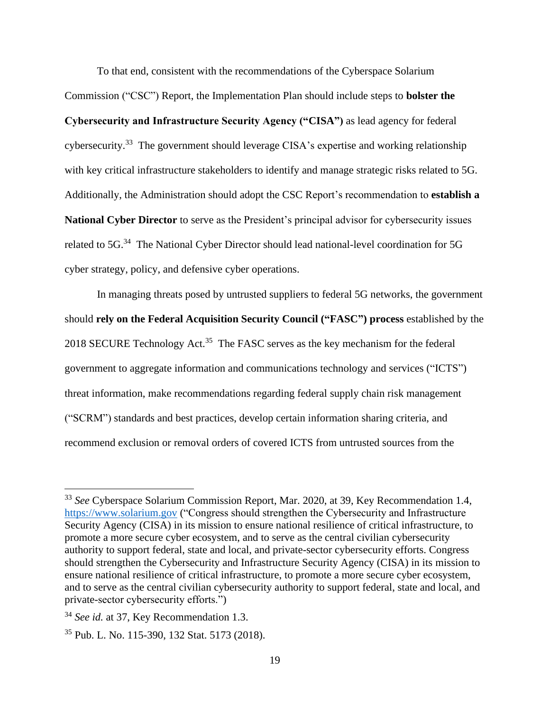To that end, consistent with the recommendations of the Cyberspace Solarium

Commission ("CSC") Report, the Implementation Plan should include steps to **bolster the Cybersecurity and Infrastructure Security Agency ("CISA")** as lead agency for federal cybersecurity.<sup>33</sup> The government should leverage CISA's expertise and working relationship with key critical infrastructure stakeholders to identify and manage strategic risks related to 5G. Additionally, the Administration should adopt the CSC Report's recommendation to **establish a National Cyber Director** to serve as the President's principal advisor for cybersecurity issues related to 5G.<sup>34</sup> The National Cyber Director should lead national-level coordination for 5G cyber strategy, policy, and defensive cyber operations.

In managing threats posed by untrusted suppliers to federal 5G networks, the government should **rely on the Federal Acquisition Security Council ("FASC") process** established by the 2018 SECURE Technology Act.<sup>35</sup> The FASC serves as the key mechanism for the federal government to aggregate information and communications technology and services ("ICTS") threat information, make recommendations regarding federal supply chain risk management ("SCRM") standards and best practices, develop certain information sharing criteria, and recommend exclusion or removal orders of covered ICTS from untrusted sources from the

<sup>33</sup> *See* Cyberspace Solarium Commission Report, Mar. 2020, at 39, Key Recommendation 1.4, [https://www.solarium.gov](https://www.solarium.gov/) ("Congress should strengthen the Cybersecurity and Infrastructure Security Agency (CISA) in its mission to ensure national resilience of critical infrastructure, to promote a more secure cyber ecosystem, and to serve as the central civilian cybersecurity authority to support federal, state and local, and private-sector cybersecurity efforts. Congress should strengthen the Cybersecurity and Infrastructure Security Agency (CISA) in its mission to ensure national resilience of critical infrastructure, to promote a more secure cyber ecosystem, and to serve as the central civilian cybersecurity authority to support federal, state and local, and private-sector cybersecurity efforts.")

<sup>34</sup> *See id.* at 37, Key Recommendation 1.3.

<sup>35</sup> Pub. L. No. 115-390, 132 Stat. 5173 (2018).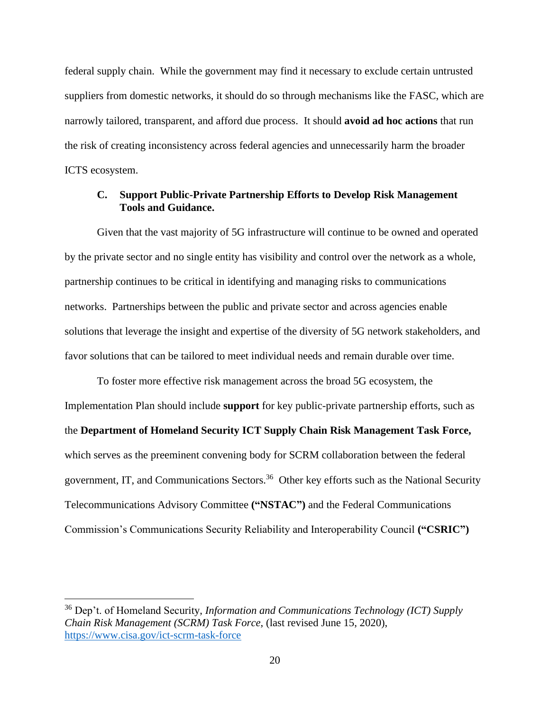federal supply chain. While the government may find it necessary to exclude certain untrusted suppliers from domestic networks, it should do so through mechanisms like the FASC, which are narrowly tailored, transparent, and afford due process. It should **avoid ad hoc actions** that run the risk of creating inconsistency across federal agencies and unnecessarily harm the broader ICTS ecosystem.

### <span id="page-22-0"></span>**C. Support Public-Private Partnership Efforts to Develop Risk Management Tools and Guidance.**

Given that the vast majority of 5G infrastructure will continue to be owned and operated by the private sector and no single entity has visibility and control over the network as a whole, partnership continues to be critical in identifying and managing risks to communications networks. Partnerships between the public and private sector and across agencies enable solutions that leverage the insight and expertise of the diversity of 5G network stakeholders, and favor solutions that can be tailored to meet individual needs and remain durable over time.

To foster more effective risk management across the broad 5G ecosystem, the Implementation Plan should include **support** for key public-private partnership efforts, such as the **Department of Homeland Security ICT Supply Chain Risk Management Task Force,**  which serves as the preeminent convening body for SCRM collaboration between the federal government, IT, and Communications Sectors.<sup>36</sup> Other key efforts such as the National Security Telecommunications Advisory Committee **("NSTAC")** and the Federal Communications Commission's Communications Security Reliability and Interoperability Council **("CSRIC")** 

<sup>36</sup> Dep't. of Homeland Security, *Information and Communications Technology (ICT) Supply Chain Risk Management (SCRM) Task Force*, (last revised June 15, 2020), <https://www.cisa.gov/ict-scrm-task-force>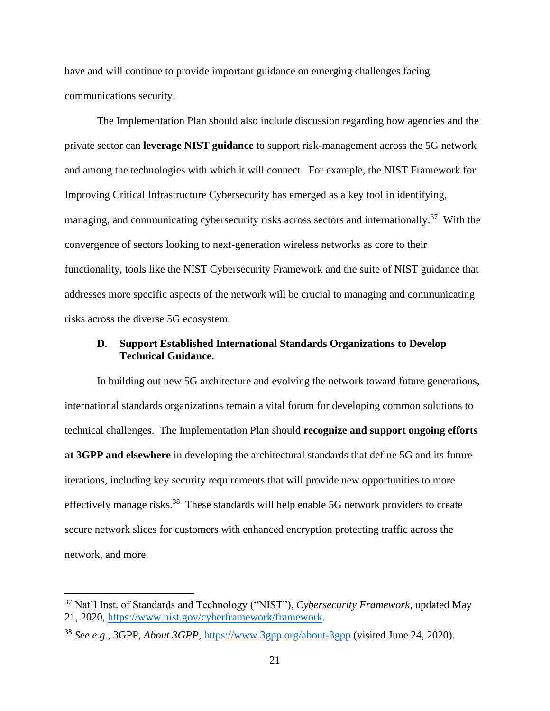have and will continue to provide important guidance on emerging challenges facing communications security.

The Implementation Plan should also include discussion regarding how agencies and the private sector can **leverage NIST guidance** to support risk-management across the 5G network and among the technologies with which it will connect. For example, the NIST Framework for Improving Critical Infrastructure Cybersecurity has emerged as a key tool in identifying, managing, and communicating cybersecurity risks across sectors and internationally.<sup>37</sup> With the convergence of sectors looking to next-generation wireless networks as core to their functionality, tools like the NIST Cybersecurity Framework and the suite of NIST guidance that addresses more specific aspects of the network will be crucial to managing and communicating risks across the diverse 5G ecosystem.

### <span id="page-23-0"></span>**D. Support Established International Standards Organizations to Develop Technical Guidance.**

In building out new 5G architecture and evolving the network toward future generations, international standards organizations remain a vital forum for developing common solutions to technical challenges. The Implementation Plan should **recognize and support ongoing efforts at 3GPP and elsewhere** in developing the architectural standards that define 5G and its future iterations, including key security requirements that will provide new opportunities to more effectively manage risks.<sup>38</sup> These standards will help enable 5G network providers to create secure network slices for customers with enhanced encryption protecting traffic across the network, and more.

<sup>37</sup> Nat'l Inst. of Standards and Technology ("NIST"), *Cybersecurity Framework*, updated May 21, 2020, [https://www.nist.gov/cyberframework/framework.](https://www.nist.gov/cyberframework/framework)

<sup>38</sup> *See e.g.*, 3GPP, *About 3GPP*,<https://www.3gpp.org/about-3gpp> (visited June 24, 2020).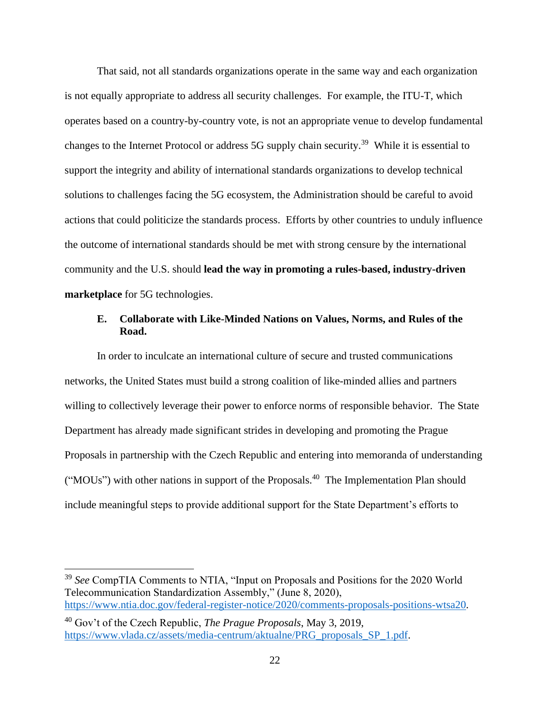That said, not all standards organizations operate in the same way and each organization is not equally appropriate to address all security challenges. For example, the ITU-T, which operates based on a country-by-country vote, is not an appropriate venue to develop fundamental changes to the Internet Protocol or address 5G supply chain security.<sup>39</sup> While it is essential to support the integrity and ability of international standards organizations to develop technical solutions to challenges facing the 5G ecosystem, the Administration should be careful to avoid actions that could politicize the standards process. Efforts by other countries to unduly influence the outcome of international standards should be met with strong censure by the international community and the U.S. should **lead the way in promoting a rules-based, industry-driven marketplace** for 5G technologies.

### <span id="page-24-0"></span>**E. Collaborate with Like-Minded Nations on Values, Norms, and Rules of the Road.**

In order to inculcate an international culture of secure and trusted communications networks, the United States must build a strong coalition of like-minded allies and partners willing to collectively leverage their power to enforce norms of responsible behavior. The State Department has already made significant strides in developing and promoting the Prague Proposals in partnership with the Czech Republic and entering into memoranda of understanding ("MOUs") with other nations in support of the Proposals.<sup>40</sup> The Implementation Plan should include meaningful steps to provide additional support for the State Department's efforts to

<sup>39</sup> *See* CompTIA Comments to NTIA, "Input on Proposals and Positions for the 2020 World Telecommunication Standardization Assembly," (June 8, 2020), [https://www.ntia.doc.gov/federal-register-notice/2020/comments-proposals-positions-wtsa20.](https://www.ntia.doc.gov/federal-register-notice/2020/comments-proposals-positions-wtsa20)

<sup>40</sup> Gov't of the Czech Republic, *The Prague Proposals*, May 3, 2019, [https://www.vlada.cz/assets/media-centrum/aktualne/PRG\\_proposals\\_SP\\_1.pdf.](https://www.vlada.cz/assets/media-centrum/aktualne/PRG_proposals_SP_1.pdf)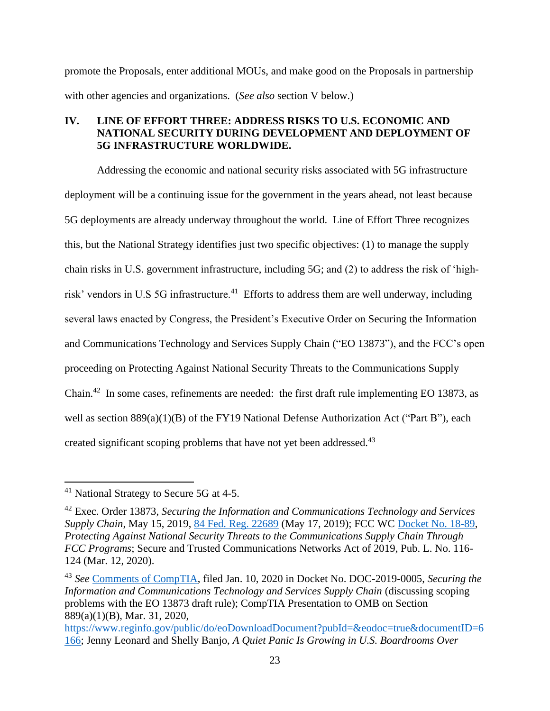promote the Proposals, enter additional MOUs, and make good on the Proposals in partnership with other agencies and organizations. (*See also* section V below.)

### <span id="page-25-0"></span>**IV. LINE OF EFFORT THREE: ADDRESS RISKS TO U.S. ECONOMIC AND NATIONAL SECURITY DURING DEVELOPMENT AND DEPLOYMENT OF 5G INFRASTRUCTURE WORLDWIDE.**

Addressing the economic and national security risks associated with 5G infrastructure deployment will be a continuing issue for the government in the years ahead, not least because 5G deployments are already underway throughout the world. Line of Effort Three recognizes this, but the National Strategy identifies just two specific objectives: (1) to manage the supply chain risks in U.S. government infrastructure, including 5G; and (2) to address the risk of 'highrisk' vendors in U.S 5G infrastructure.<sup>41</sup> Efforts to address them are well underway, including several laws enacted by Congress, the President's Executive Order on Securing the Information and Communications Technology and Services Supply Chain ("EO 13873"), and the FCC's open proceeding on Protecting Against National Security Threats to the Communications Supply Chain.<sup>42</sup> In some cases, refinements are needed: the first draft rule implementing EO 13873, as well as section 889(a)(1)(B) of the FY19 National Defense Authorization Act ("Part B"), each created significant scoping problems that have not yet been addressed.<sup>43</sup>

<sup>41</sup> National Strategy to Secure 5G at 4-5.

<sup>42</sup> Exec. Order 13873, *Securing the Information and Communications Technology and Services Supply Chain*, May 15, 2019, [84 Fed. Reg. 22689](https://www.govinfo.gov/content/pkg/FR-2019-05-17/pdf/2019-10538.pdf) (May 17, 2019); FCC WC [Docket No. 18-89,](https://www.fcc.gov/ecfs/search/filings?proceedings_name=18-89&sort=date_received,DESC) *Protecting Against National Security Threats to the Communications Supply Chain Through FCC Programs*; Secure and Trusted Communications Networks Act of 2019, Pub. L. No. 116- 124 (Mar. 12, 2020).

<sup>43</sup> *See* [Comments of CompTIA,](https://www.regulations.gov/contentStreamer?documentId=DOC-2019-0005-0035&attachmentNumber=1&contentType=pdf) filed Jan. 10, 2020 in Docket No. DOC-2019-0005, *Securing the Information and Communications Technology and Services Supply Chain* (discussing scoping problems with the EO 13873 draft rule); CompTIA Presentation to OMB on Section 889(a)(1)(B), Mar. 31, 2020,

[https://www.reginfo.gov/public/do/eoDownloadDocument?pubId=&eodoc=true&documentID=6](https://www.reginfo.gov/public/do/eoDownloadDocument?pubId=&eodoc=true&documentID=6166) [166;](https://www.reginfo.gov/public/do/eoDownloadDocument?pubId=&eodoc=true&documentID=6166) Jenny Leonard and Shelly Banjo, *A Quiet Panic Is Growing in U.S. Boardrooms Over*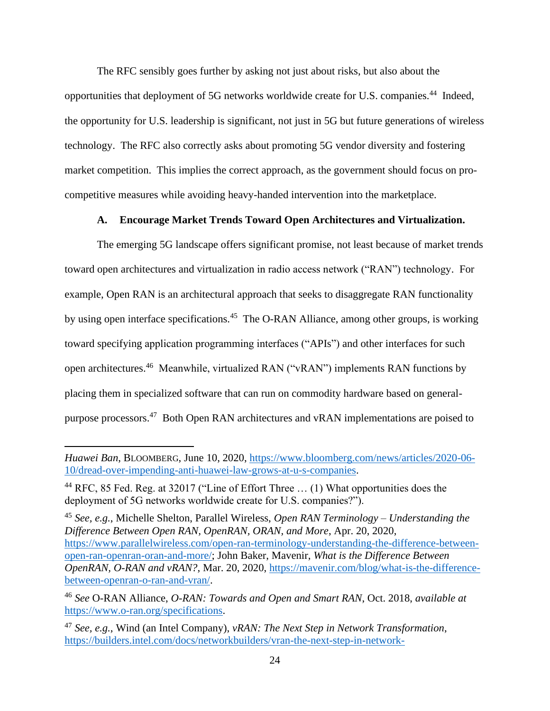The RFC sensibly goes further by asking not just about risks, but also about the opportunities that deployment of 5G networks worldwide create for U.S. companies.<sup>44</sup> Indeed, the opportunity for U.S. leadership is significant, not just in 5G but future generations of wireless technology. The RFC also correctly asks about promoting 5G vendor diversity and fostering market competition. This implies the correct approach, as the government should focus on procompetitive measures while avoiding heavy-handed intervention into the marketplace.

### **A. Encourage Market Trends Toward Open Architectures and Virtualization.**

<span id="page-26-0"></span>The emerging 5G landscape offers significant promise, not least because of market trends toward open architectures and virtualization in radio access network ("RAN") technology. For example, Open RAN is an architectural approach that seeks to disaggregate RAN functionality by using open interface specifications.<sup>45</sup> The O-RAN Alliance, among other groups, is working toward specifying application programming interfaces ("APIs") and other interfaces for such open architectures.<sup>46</sup> Meanwhile, virtualized RAN ("vRAN") implements RAN functions by placing them in specialized software that can run on commodity hardware based on generalpurpose processors.<sup>47</sup> Both Open RAN architectures and vRAN implementations are poised to

*Huawei Ban*, BLOOMBERG, June 10, 2020, [https://www.bloomberg.com/news/articles/2020-06-](https://www.bloomberg.com/news/articles/2020-06-10/dread-over-impending-anti-huawei-law-grows-at-u-s-companies) [10/dread-over-impending-anti-huawei-law-grows-at-u-s-companies.](https://www.bloomberg.com/news/articles/2020-06-10/dread-over-impending-anti-huawei-law-grows-at-u-s-companies)

<sup>&</sup>lt;sup>44</sup> RFC, 85 Fed. Reg. at 32017 ("Line of Effort Three  $\dots$  (1) What opportunities does the deployment of 5G networks worldwide create for U.S. companies?").

<sup>45</sup> *See, e.g.*, Michelle Shelton, Parallel Wireless, *Open RAN Terminology – Understanding the Difference Between Open RAN, OpenRAN, ORAN, and More*, Apr. 20, 2020, [https://www.parallelwireless.com/open-ran-terminology-understanding-the-difference-between](https://www.parallelwireless.com/open-ran-terminology-understanding-the-difference-between-open-ran-openran-oran-and-more/)[open-ran-openran-oran-and-more/;](https://www.parallelwireless.com/open-ran-terminology-understanding-the-difference-between-open-ran-openran-oran-and-more/) John Baker, Mavenir, *What is the Difference Between OpenRAN, O-RAN and vRAN?*, Mar. 20, 2020, [https://mavenir.com/blog/what-is-the-difference](https://mavenir.com/blog/what-is-the-difference-between-openran-o-ran-and-vran/)[between-openran-o-ran-and-vran/.](https://mavenir.com/blog/what-is-the-difference-between-openran-o-ran-and-vran/)

<sup>46</sup> *See* O-RAN Alliance, *O-RAN: Towards and Open and Smart RAN*, Oct. 2018, *available at* [https://www.o-ran.org/specifications.](https://www.o-ran.org/specifications)

<sup>47</sup> *See, e.g.*, Wind (an Intel Company), *vRAN: The Next Step in Network Transformation*, [https://builders.intel.com/docs/networkbuilders/vran-the-next-step-in-network-](https://builders.intel.com/docs/networkbuilders/vran-the-next-step-in-network-transformation.pdf)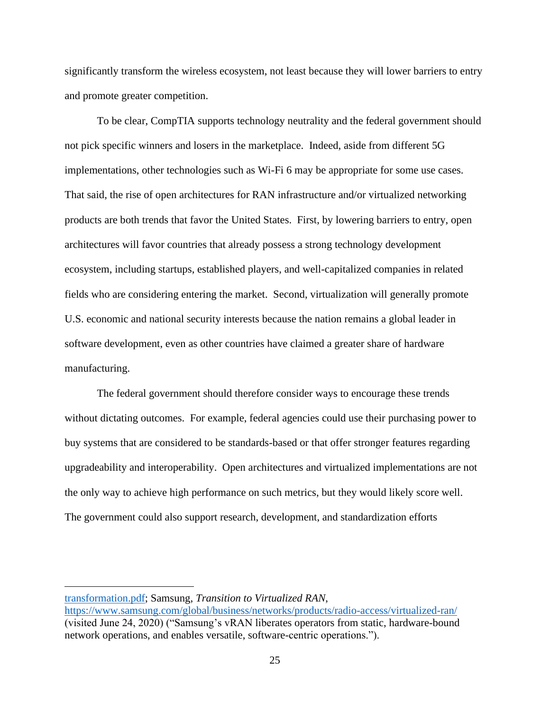significantly transform the wireless ecosystem, not least because they will lower barriers to entry and promote greater competition.

To be clear, CompTIA supports technology neutrality and the federal government should not pick specific winners and losers in the marketplace. Indeed, aside from different 5G implementations, other technologies such as Wi-Fi 6 may be appropriate for some use cases. That said, the rise of open architectures for RAN infrastructure and/or virtualized networking products are both trends that favor the United States. First, by lowering barriers to entry, open architectures will favor countries that already possess a strong technology development ecosystem, including startups, established players, and well-capitalized companies in related fields who are considering entering the market. Second, virtualization will generally promote U.S. economic and national security interests because the nation remains a global leader in software development, even as other countries have claimed a greater share of hardware manufacturing.

The federal government should therefore consider ways to encourage these trends without dictating outcomes. For example, federal agencies could use their purchasing power to buy systems that are considered to be standards-based or that offer stronger features regarding upgradeability and interoperability. Open architectures and virtualized implementations are not the only way to achieve high performance on such metrics, but they would likely score well. The government could also support research, development, and standardization efforts

[transformation.pdf;](https://builders.intel.com/docs/networkbuilders/vran-the-next-step-in-network-transformation.pdf) Samsung, *Transition to Virtualized RAN*,

<https://www.samsung.com/global/business/networks/products/radio-access/virtualized-ran/> (visited June 24, 2020) ("Samsung's vRAN liberates operators from static, hardware-bound network operations, and enables versatile, software-centric operations.").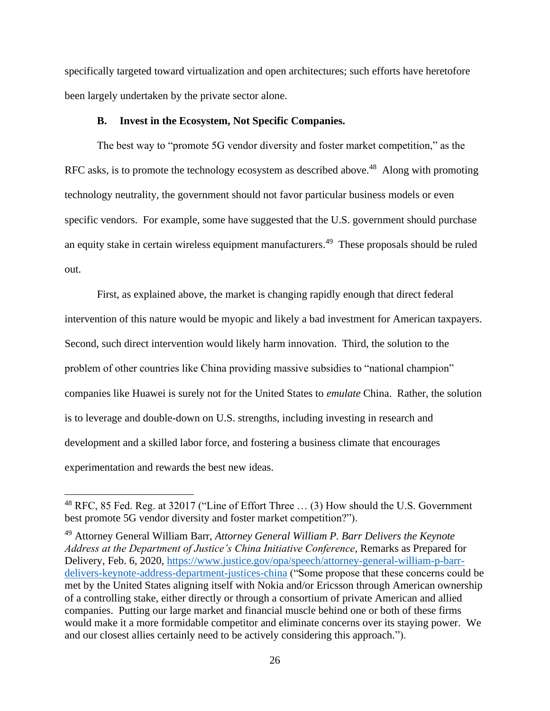specifically targeted toward virtualization and open architectures; such efforts have heretofore been largely undertaken by the private sector alone.

### **B. Invest in the Ecosystem, Not Specific Companies.**

<span id="page-28-0"></span>The best way to "promote 5G vendor diversity and foster market competition," as the RFC asks, is to promote the technology ecosystem as described above.<sup>48</sup> Along with promoting technology neutrality, the government should not favor particular business models or even specific vendors. For example, some have suggested that the U.S. government should purchase an equity stake in certain wireless equipment manufacturers.<sup>49</sup> These proposals should be ruled out.

First, as explained above, the market is changing rapidly enough that direct federal intervention of this nature would be myopic and likely a bad investment for American taxpayers. Second, such direct intervention would likely harm innovation. Third, the solution to the problem of other countries like China providing massive subsidies to "national champion" companies like Huawei is surely not for the United States to *emulate* China. Rather, the solution is to leverage and double-down on U.S. strengths, including investing in research and development and a skilled labor force, and fostering a business climate that encourages experimentation and rewards the best new ideas.

<sup>&</sup>lt;sup>48</sup> RFC, 85 Fed. Reg. at 32017 ("Line of Effort Three ... (3) How should the U.S. Government best promote 5G vendor diversity and foster market competition?").

<sup>49</sup> Attorney General William Barr, *Attorney General William P. Barr Delivers the Keynote Address at the Department of Justice's China Initiative Conference*, Remarks as Prepared for Delivery, Feb. 6, 2020, [https://www.justice.gov/opa/speech/attorney-general-william-p-barr](https://www.justice.gov/opa/speech/attorney-general-william-p-barr-delivers-keynote-address-department-justices-china)[delivers-keynote-address-department-justices-china](https://www.justice.gov/opa/speech/attorney-general-william-p-barr-delivers-keynote-address-department-justices-china) ("Some propose that these concerns could be met by the United States aligning itself with Nokia and/or Ericsson through American ownership of a controlling stake, either directly or through a consortium of private American and allied companies. Putting our large market and financial muscle behind one or both of these firms would make it a more formidable competitor and eliminate concerns over its staying power. We and our closest allies certainly need to be actively considering this approach.").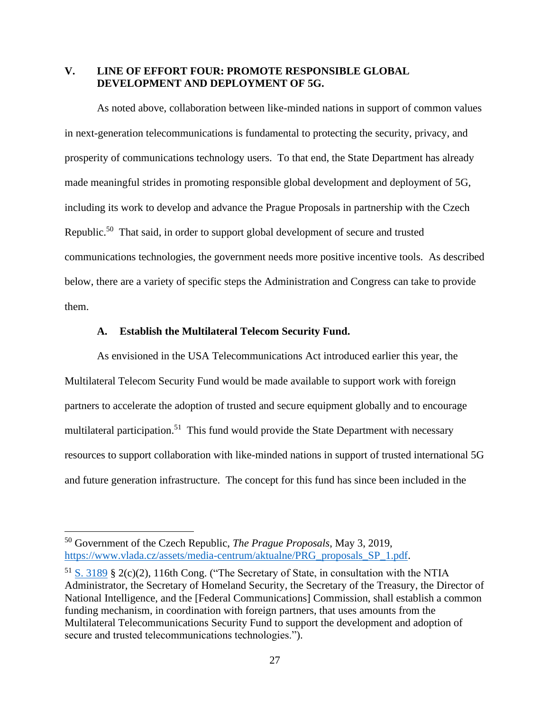### <span id="page-29-0"></span>**V. LINE OF EFFORT FOUR: PROMOTE RESPONSIBLE GLOBAL DEVELOPMENT AND DEPLOYMENT OF 5G.**

As noted above, collaboration between like-minded nations in support of common values in next-generation telecommunications is fundamental to protecting the security, privacy, and prosperity of communications technology users. To that end, the State Department has already made meaningful strides in promoting responsible global development and deployment of 5G, including its work to develop and advance the Prague Proposals in partnership with the Czech Republic.<sup>50</sup> That said, in order to support global development of secure and trusted communications technologies, the government needs more positive incentive tools. As described below, there are a variety of specific steps the Administration and Congress can take to provide them.

### **A. Establish the Multilateral Telecom Security Fund.**

<span id="page-29-1"></span>As envisioned in the USA Telecommunications Act introduced earlier this year, the Multilateral Telecom Security Fund would be made available to support work with foreign partners to accelerate the adoption of trusted and secure equipment globally and to encourage multilateral participation.<sup>51</sup> This fund would provide the State Department with necessary resources to support collaboration with like-minded nations in support of trusted international 5G and future generation infrastructure. The concept for this fund has since been included in the

<sup>50</sup> Government of the Czech Republic, *The Prague Proposals*, May 3, 2019, [https://www.vlada.cz/assets/media-centrum/aktualne/PRG\\_proposals\\_SP\\_1.pdf.](https://www.vlada.cz/assets/media-centrum/aktualne/PRG_proposals_SP_1.pdf)

 $51$  [S. 3189](https://www.congress.gov/bill/116th-congress/senate-bill/3189/text) § 2(c)(2), 116th Cong. ("The Secretary of State, in consultation with the NTIA Administrator, the Secretary of Homeland Security, the Secretary of the Treasury, the Director of National Intelligence, and the [Federal Communications] Commission, shall establish a common funding mechanism, in coordination with foreign partners, that uses amounts from the Multilateral Telecommunications Security Fund to support the development and adoption of secure and trusted telecommunications technologies.").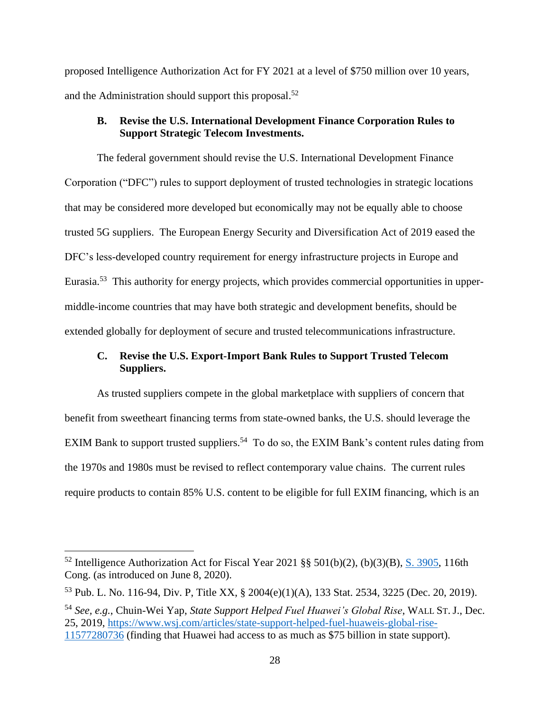proposed Intelligence Authorization Act for FY 2021 at a level of \$750 million over 10 years, and the Administration should support this proposal.<sup>52</sup>

### <span id="page-30-0"></span>**B. Revise the U.S. International Development Finance Corporation Rules to Support Strategic Telecom Investments.**

The federal government should revise the U.S. International Development Finance Corporation ("DFC") rules to support deployment of trusted technologies in strategic locations that may be considered more developed but economically may not be equally able to choose trusted 5G suppliers. The European Energy Security and Diversification Act of 2019 eased the DFC's less-developed country requirement for energy infrastructure projects in Europe and Eurasia.<sup>53</sup> This authority for energy projects, which provides commercial opportunities in uppermiddle-income countries that may have both strategic and development benefits, should be extended globally for deployment of secure and trusted telecommunications infrastructure.

## <span id="page-30-1"></span>**C. Revise the U.S. Export-Import Bank Rules to Support Trusted Telecom Suppliers.**

As trusted suppliers compete in the global marketplace with suppliers of concern that benefit from sweetheart financing terms from state-owned banks, the U.S. should leverage the EXIM Bank to support trusted suppliers.<sup>54</sup> To do so, the EXIM Bank's content rules dating from the 1970s and 1980s must be revised to reflect contemporary value chains. The current rules require products to contain 85% U.S. content to be eligible for full EXIM financing, which is an

<sup>&</sup>lt;sup>52</sup> Intelligence Authorization Act for Fiscal Year 2021 §§ 501(b)(2), (b)(3)(B),  $\underline{S. 3905}$ , 116th Cong. (as introduced on June 8, 2020).

<sup>53</sup> Pub. L. No. 116-94, Div. P, Title XX, § 2004(e)(1)(A), 133 Stat. 2534, 3225 (Dec. 20, 2019).

<sup>54</sup> *See, e.g.*, Chuin-Wei Yap, *State Support Helped Fuel Huawei's Global Rise*, WALL ST. J., Dec. 25, 2019, [https://www.wsj.com/articles/state-support-helped-fuel-huaweis-global-rise-](https://www.wsj.com/articles/state-support-helped-fuel-huaweis-global-rise-11577280736)[11577280736](https://www.wsj.com/articles/state-support-helped-fuel-huaweis-global-rise-11577280736) (finding that Huawei had access to as much as \$75 billion in state support).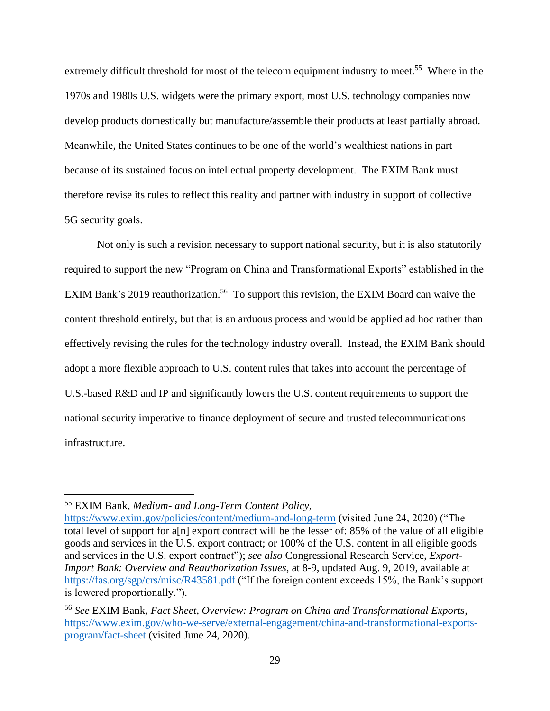extremely difficult threshold for most of the telecom equipment industry to meet.<sup>55</sup> Where in the 1970s and 1980s U.S. widgets were the primary export, most U.S. technology companies now develop products domestically but manufacture/assemble their products at least partially abroad. Meanwhile, the United States continues to be one of the world's wealthiest nations in part because of its sustained focus on intellectual property development. The EXIM Bank must therefore revise its rules to reflect this reality and partner with industry in support of collective 5G security goals.

Not only is such a revision necessary to support national security, but it is also statutorily required to support the new "Program on China and Transformational Exports" established in the EXIM Bank's 2019 reauthorization.<sup>56</sup> To support this revision, the EXIM Board can waive the content threshold entirely, but that is an arduous process and would be applied ad hoc rather than effectively revising the rules for the technology industry overall. Instead, the EXIM Bank should adopt a more flexible approach to U.S. content rules that takes into account the percentage of U.S.-based R&D and IP and significantly lowers the U.S. content requirements to support the national security imperative to finance deployment of secure and trusted telecommunications infrastructure.

<sup>55</sup> EXIM Bank, *Medium- and Long-Term Content Policy*,

<https://www.exim.gov/policies/content/medium-and-long-term> (visited June 24, 2020) ("The total level of support for a[n] export contract will be the lesser of: 85% of the value of all eligible goods and services in the U.S. export contract; or 100% of the U.S. content in all eligible goods and services in the U.S. export contract"); *see also* Congressional Research Service, *Export-Import Bank: Overview and Reauthorization Issues*, at 8-9, updated Aug. 9, 2019, available at <https://fas.org/sgp/crs/misc/R43581.pdf> ("If the foreign content exceeds 15%, the Bank's support is lowered proportionally.").

<sup>56</sup> *See* EXIM Bank, *Fact Sheet, Overview: Program on China and Transformational Exports*, [https://www.exim.gov/who-we-serve/external-engagement/china-and-transformational-exports](https://www.exim.gov/who-we-serve/external-engagement/china-and-transformational-exports-program/fact-sheet)[program/fact-sheet](https://www.exim.gov/who-we-serve/external-engagement/china-and-transformational-exports-program/fact-sheet) (visited June 24, 2020).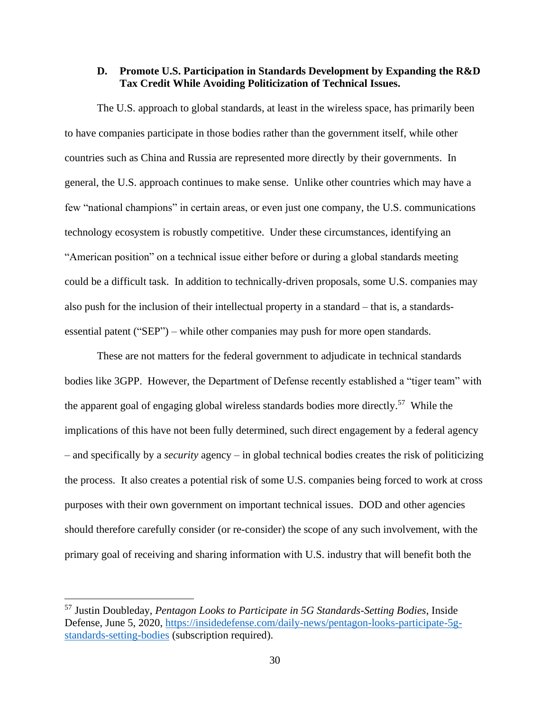### <span id="page-32-0"></span>**D. Promote U.S. Participation in Standards Development by Expanding the R&D Tax Credit While Avoiding Politicization of Technical Issues.**

The U.S. approach to global standards, at least in the wireless space, has primarily been to have companies participate in those bodies rather than the government itself, while other countries such as China and Russia are represented more directly by their governments. In general, the U.S. approach continues to make sense. Unlike other countries which may have a few "national champions" in certain areas, or even just one company, the U.S. communications technology ecosystem is robustly competitive. Under these circumstances, identifying an "American position" on a technical issue either before or during a global standards meeting could be a difficult task. In addition to technically-driven proposals, some U.S. companies may also push for the inclusion of their intellectual property in a standard – that is, a standardsessential patent ("SEP") – while other companies may push for more open standards.

These are not matters for the federal government to adjudicate in technical standards bodies like 3GPP. However, the Department of Defense recently established a "tiger team" with the apparent goal of engaging global wireless standards bodies more directly.<sup>57</sup> While the implications of this have not been fully determined, such direct engagement by a federal agency – and specifically by a *security* agency – in global technical bodies creates the risk of politicizing the process. It also creates a potential risk of some U.S. companies being forced to work at cross purposes with their own government on important technical issues. DOD and other agencies should therefore carefully consider (or re-consider) the scope of any such involvement, with the primary goal of receiving and sharing information with U.S. industry that will benefit both the

<sup>57</sup> Justin Doubleday, *Pentagon Looks to Participate in 5G Standards-Setting Bodies*, Inside Defense, June 5, 2020, [https://insidedefense.com/daily-news/pentagon-looks-participate-5g](https://insidedefense.com/daily-news/pentagon-looks-participate-5g-standards-setting-bodies)[standards-setting-bodies](https://insidedefense.com/daily-news/pentagon-looks-participate-5g-standards-setting-bodies) (subscription required).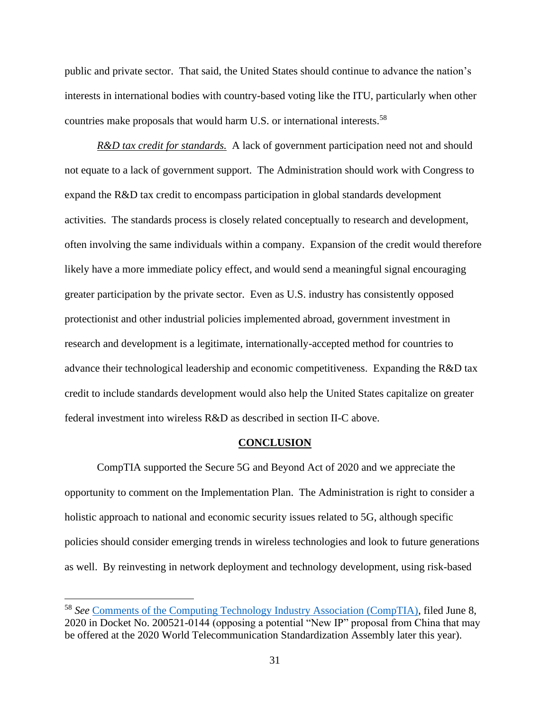public and private sector. That said, the United States should continue to advance the nation's interests in international bodies with country-based voting like the ITU, particularly when other countries make proposals that would harm U.S. or international interests.<sup>58</sup>

*R&D tax credit for standards.* A lack of government participation need not and should not equate to a lack of government support. The Administration should work with Congress to expand the R&D tax credit to encompass participation in global standards development activities. The standards process is closely related conceptually to research and development, often involving the same individuals within a company. Expansion of the credit would therefore likely have a more immediate policy effect, and would send a meaningful signal encouraging greater participation by the private sector. Even as U.S. industry has consistently opposed protectionist and other industrial policies implemented abroad, government investment in research and development is a legitimate, internationally-accepted method for countries to advance their technological leadership and economic competitiveness. Expanding the R&D tax credit to include standards development would also help the United States capitalize on greater federal investment into wireless R&D as described in section II-C above.

#### **CONCLUSION**

<span id="page-33-0"></span>CompTIA supported the Secure 5G and Beyond Act of 2020 and we appreciate the opportunity to comment on the Implementation Plan. The Administration is right to consider a holistic approach to national and economic security issues related to 5G, although specific policies should consider emerging trends in wireless technologies and look to future generations as well. By reinvesting in network deployment and technology development, using risk-based

<sup>58</sup> *See* [Comments of the Computing Technology Industry Association \(CompTIA\),](https://www.ntia.doc.gov/files/ntia/publications/comptia-06082020.pdf) filed June 8, 2020 in Docket No. 200521-0144 (opposing a potential "New IP" proposal from China that may be offered at the 2020 World Telecommunication Standardization Assembly later this year).